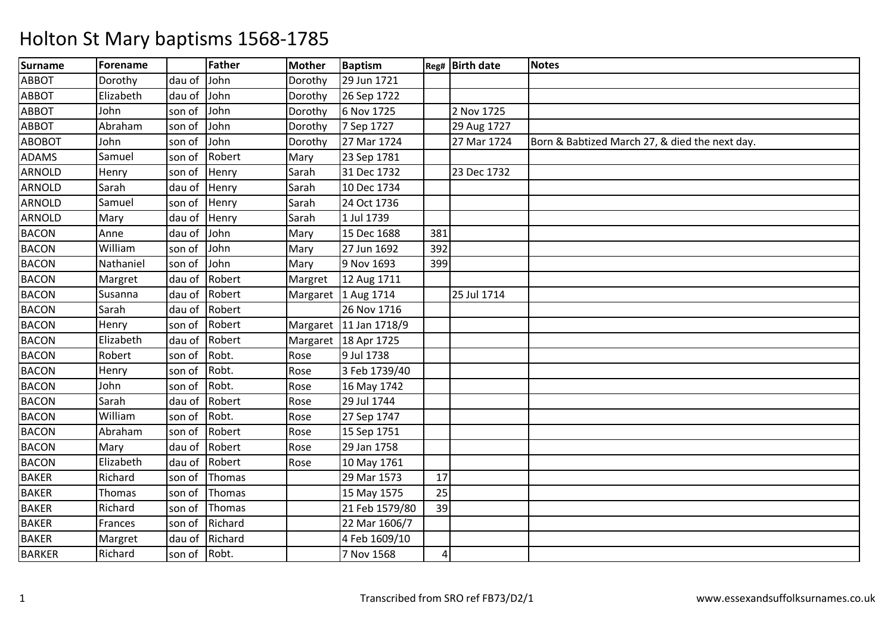| <b>Surname</b> | Forename  |        | Father  | <b>Mother</b> | <b>Baptism</b>         |     | Reg# Birth date | <b>Notes</b>                                   |
|----------------|-----------|--------|---------|---------------|------------------------|-----|-----------------|------------------------------------------------|
| <b>ABBOT</b>   | Dorothy   | dau of | John    | Dorothy       | 29 Jun 1721            |     |                 |                                                |
| <b>ABBOT</b>   | Elizabeth | dau of | John    | Dorothy       | 26 Sep 1722            |     |                 |                                                |
| <b>ABBOT</b>   | John      | son of | John    | Dorothy       | 6 Nov 1725             |     | 2 Nov 1725      |                                                |
| <b>ABBOT</b>   | Abraham   | son of | John    | Dorothy       | 7 Sep 1727             |     | 29 Aug 1727     |                                                |
| <b>ABOBOT</b>  | John      | son of | John    | Dorothy       | 27 Mar 1724            |     | 27 Mar 1724     | Born & Babtized March 27, & died the next day. |
| <b>ADAMS</b>   | Samuel    | son of | Robert  | Mary          | 23 Sep 1781            |     |                 |                                                |
| <b>ARNOLD</b>  | Henry     | son of | Henry   | Sarah         | 31 Dec 1732            |     | 23 Dec 1732     |                                                |
| ARNOLD         | Sarah     | dau of | Henry   | Sarah         | 10 Dec 1734            |     |                 |                                                |
| ARNOLD         | Samuel    | son of | Henry   | Sarah         | 24 Oct 1736            |     |                 |                                                |
| <b>ARNOLD</b>  | Mary      | dau of | Henry   | Sarah         | 1 Jul 1739             |     |                 |                                                |
| <b>BACON</b>   | Anne      | dau of | John    | Mary          | 15 Dec 1688            | 381 |                 |                                                |
| <b>BACON</b>   | William   | son of | John    | Mary          | 27 Jun 1692            | 392 |                 |                                                |
| <b>BACON</b>   | Nathaniel | son of | John    | Mary          | 9 Nov 1693             | 399 |                 |                                                |
| <b>BACON</b>   | Margret   | dau of | Robert  | Margret       | 12 Aug 1711            |     |                 |                                                |
| <b>BACON</b>   | Susanna   | dau of | Robert  |               | Margaret 1 Aug 1714    |     | 25 Jul 1714     |                                                |
| <b>BACON</b>   | Sarah     | dau of | Robert  |               | 26 Nov 1716            |     |                 |                                                |
| <b>BACON</b>   | Henry     | son of | Robert  |               | Margaret 11 Jan 1718/9 |     |                 |                                                |
| <b>BACON</b>   | Elizabeth | dau of | Robert  |               | Margaret 18 Apr 1725   |     |                 |                                                |
| <b>BACON</b>   | Robert    | son of | Robt.   | Rose          | 9 Jul 1738             |     |                 |                                                |
| <b>BACON</b>   | Henry     | son of | Robt.   | Rose          | 3 Feb 1739/40          |     |                 |                                                |
| <b>BACON</b>   | John      | son of | Robt.   | Rose          | 16 May 1742            |     |                 |                                                |
| <b>BACON</b>   | Sarah     | dau of | Robert  | Rose          | 29 Jul 1744            |     |                 |                                                |
| <b>BACON</b>   | William   | son of | Robt.   | Rose          | 27 Sep 1747            |     |                 |                                                |
| <b>BACON</b>   | Abraham   | son of | Robert  | Rose          | 15 Sep 1751            |     |                 |                                                |
| <b>BACON</b>   | Mary      | dau of | Robert  | Rose          | 29 Jan 1758            |     |                 |                                                |
| <b>BACON</b>   | Elizabeth | dau of | Robert  | Rose          | 10 May 1761            |     |                 |                                                |
| <b>BAKER</b>   | Richard   | son of | Thomas  |               | 29 Mar 1573            | 17  |                 |                                                |
| <b>BAKER</b>   | Thomas    | son of | Thomas  |               | 15 May 1575            | 25  |                 |                                                |
| <b>BAKER</b>   | Richard   | son of | Thomas  |               | 21 Feb 1579/80         | 39  |                 |                                                |
| <b>BAKER</b>   | Frances   | son of | Richard |               | 22 Mar 1606/7          |     |                 |                                                |
| <b>BAKER</b>   | Margret   | dau of | Richard |               | 4 Feb 1609/10          |     |                 |                                                |
| <b>BARKER</b>  | Richard   | son of | Robt.   |               | 7 Nov 1568             | 4   |                 |                                                |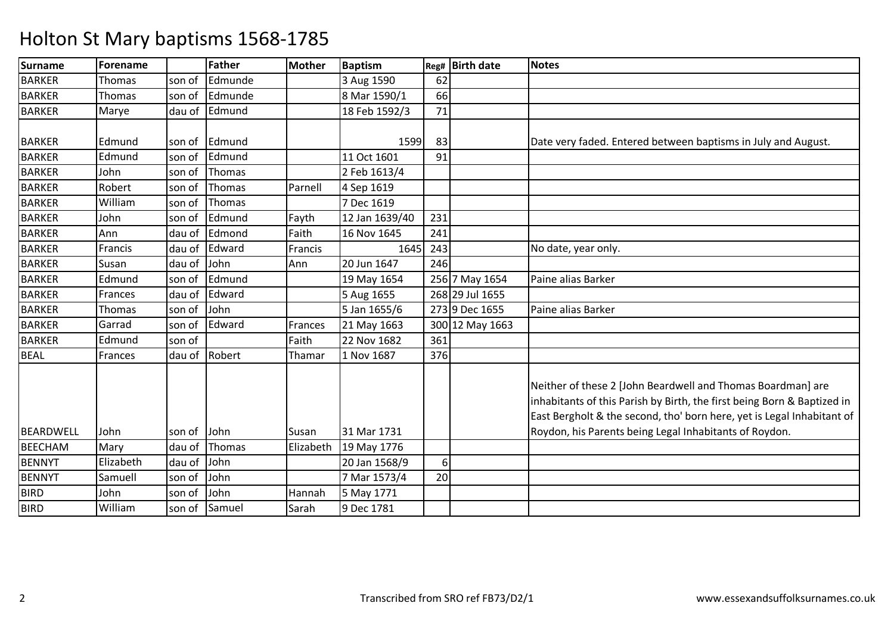| <b>Surname</b>   | Forename  |        | <b>Father</b> | <b>Mother</b> | <b>Baptism</b> |     | Reg# Birth date | <b>Notes</b>                                                                                                                                                                                                     |
|------------------|-----------|--------|---------------|---------------|----------------|-----|-----------------|------------------------------------------------------------------------------------------------------------------------------------------------------------------------------------------------------------------|
| <b>BARKER</b>    | Thomas    | son of | Edmunde       |               | 3 Aug 1590     | 62  |                 |                                                                                                                                                                                                                  |
| <b>BARKER</b>    | Thomas    | son of | Edmunde       |               | 8 Mar 1590/1   | 66  |                 |                                                                                                                                                                                                                  |
| <b>BARKER</b>    | Marye     | dau of | Edmund        |               | 18 Feb 1592/3  | 71  |                 |                                                                                                                                                                                                                  |
|                  |           |        |               |               |                |     |                 |                                                                                                                                                                                                                  |
| <b>BARKER</b>    | Edmund    | son of | Edmund        |               | 1599           | 83  |                 | Date very faded. Entered between baptisms in July and August.                                                                                                                                                    |
| <b>BARKER</b>    | Edmund    | son of | Edmund        |               | 11 Oct 1601    | 91  |                 |                                                                                                                                                                                                                  |
| <b>BARKER</b>    | John      | son of | Thomas        |               | 2 Feb 1613/4   |     |                 |                                                                                                                                                                                                                  |
| <b>BARKER</b>    | Robert    | son of | Thomas        | Parnell       | 4 Sep 1619     |     |                 |                                                                                                                                                                                                                  |
| <b>BARKER</b>    | William   | son of | Thomas        |               | 7 Dec 1619     |     |                 |                                                                                                                                                                                                                  |
| <b>BARKER</b>    | John      | son of | Edmund        | Fayth         | 12 Jan 1639/40 | 231 |                 |                                                                                                                                                                                                                  |
| <b>BARKER</b>    | Ann       | dau of | Edmond        | Faith         | 16 Nov 1645    | 241 |                 |                                                                                                                                                                                                                  |
| <b>BARKER</b>    | Francis   | dau of | Edward        | Francis       | 1645           | 243 |                 | No date, year only.                                                                                                                                                                                              |
| <b>BARKER</b>    | Susan     | dau of | John          | Ann           | 20 Jun 1647    | 246 |                 |                                                                                                                                                                                                                  |
| <b>BARKER</b>    | Edmund    | son of | Edmund        |               | 19 May 1654    |     | 256 7 May 1654  | Paine alias Barker                                                                                                                                                                                               |
| <b>BARKER</b>    | Frances   | dau of | Edward        |               | 5 Aug 1655     |     | 268 29 Jul 1655 |                                                                                                                                                                                                                  |
| <b>BARKER</b>    | Thomas    | son of | John          |               | 5 Jan 1655/6   |     | 273 9 Dec 1655  | Paine alias Barker                                                                                                                                                                                               |
| <b>BARKER</b>    | Garrad    | son of | Edward        | Frances       | 21 May 1663    |     | 300 12 May 1663 |                                                                                                                                                                                                                  |
| <b>BARKER</b>    | Edmund    | son of |               | Faith         | 22 Nov 1682    | 361 |                 |                                                                                                                                                                                                                  |
| <b>BEAL</b>      | Frances   | dau of | Robert        | Thamar        | 1 Nov 1687     | 376 |                 |                                                                                                                                                                                                                  |
|                  |           |        |               |               |                |     |                 | Neither of these 2 [John Beardwell and Thomas Boardman] are<br>inhabitants of this Parish by Birth, the first being Born & Baptized in<br>East Bergholt & the second, tho' born here, yet is Legal Inhabitant of |
| <b>BEARDWELL</b> | John      | son of | John          | Susan         | 31 Mar 1731    |     |                 | Roydon, his Parents being Legal Inhabitants of Roydon.                                                                                                                                                           |
| <b>BEECHAM</b>   | Mary      | dau of | Thomas        | Elizabeth     | 19 May 1776    |     |                 |                                                                                                                                                                                                                  |
| <b>BENNYT</b>    | Elizabeth | dau of | John          |               | 20 Jan 1568/9  | 6   |                 |                                                                                                                                                                                                                  |
| <b>BENNYT</b>    | Samuell   | son of | John          |               | 7 Mar 1573/4   | 20  |                 |                                                                                                                                                                                                                  |
| <b>BIRD</b>      | John      | son of | John          | Hannah        | 5 May 1771     |     |                 |                                                                                                                                                                                                                  |
| <b>BIRD</b>      | William   | son of | Samuel        | Sarah         | 9 Dec 1781     |     |                 |                                                                                                                                                                                                                  |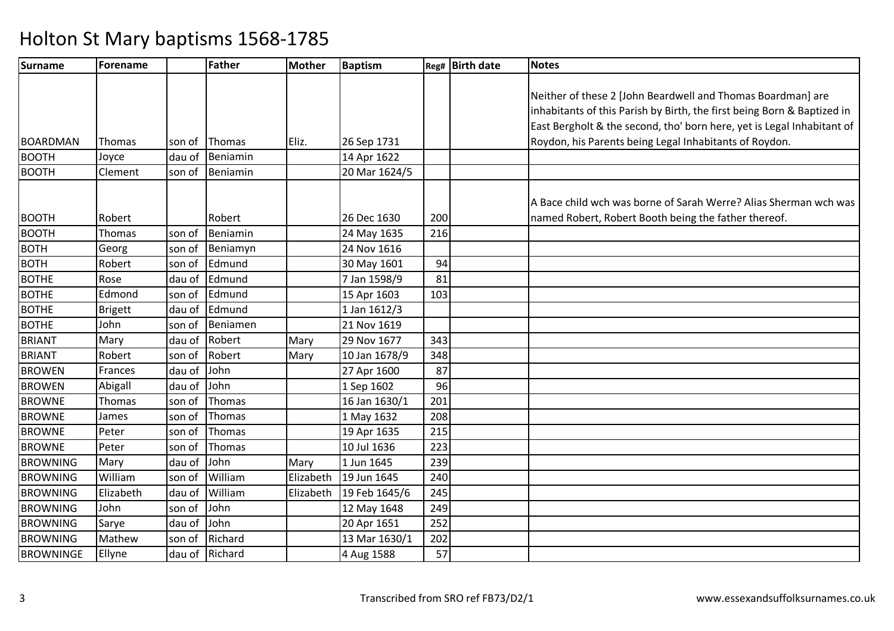| Surname          | Forename       |        | Father   | <b>Mother</b> | Baptism       |     | Reg# Birth date | <b>Notes</b>                                                            |
|------------------|----------------|--------|----------|---------------|---------------|-----|-----------------|-------------------------------------------------------------------------|
|                  |                |        |          |               |               |     |                 |                                                                         |
|                  |                |        |          |               |               |     |                 | Neither of these 2 [John Beardwell and Thomas Boardman] are             |
|                  |                |        |          |               |               |     |                 | inhabitants of this Parish by Birth, the first being Born & Baptized in |
|                  |                |        |          |               |               |     |                 | East Bergholt & the second, tho' born here, yet is Legal Inhabitant of  |
| <b>BOARDMAN</b>  | Thomas         | son of | Thomas   | Eliz.         | 26 Sep 1731   |     |                 | Roydon, his Parents being Legal Inhabitants of Roydon.                  |
| <b>BOOTH</b>     | Joyce          | dau of | Beniamin |               | 14 Apr 1622   |     |                 |                                                                         |
| <b>BOOTH</b>     | Clement        | son of | Beniamin |               | 20 Mar 1624/5 |     |                 |                                                                         |
|                  |                |        |          |               |               |     |                 |                                                                         |
|                  |                |        |          |               |               |     |                 | A Bace child wch was borne of Sarah Werre? Alias Sherman wch was        |
| <b>BOOTH</b>     | Robert         |        | Robert   |               | 26 Dec 1630   | 200 |                 | named Robert, Robert Booth being the father thereof.                    |
| <b>BOOTH</b>     | Thomas         | son of | Beniamin |               | 24 May 1635   | 216 |                 |                                                                         |
| <b>BOTH</b>      | Georg          | son of | Beniamyn |               | 24 Nov 1616   |     |                 |                                                                         |
| <b>BOTH</b>      | Robert         | son of | Edmund   |               | 30 May 1601   | 94  |                 |                                                                         |
| <b>BOTHE</b>     | Rose           | dau of | Edmund   |               | 7 Jan 1598/9  | 81  |                 |                                                                         |
| <b>BOTHE</b>     | Edmond         | son of | Edmund   |               | 15 Apr 1603   | 103 |                 |                                                                         |
| <b>BOTHE</b>     | <b>Brigett</b> | dau of | Edmund   |               | 1 Jan 1612/3  |     |                 |                                                                         |
| <b>BOTHE</b>     | John           | son of | Beniamen |               | 21 Nov 1619   |     |                 |                                                                         |
| <b>BRIANT</b>    | Mary           | dau of | Robert   | Mary          | 29 Nov 1677   | 343 |                 |                                                                         |
| <b>BRIANT</b>    | Robert         | son of | Robert   | Mary          | 10 Jan 1678/9 | 348 |                 |                                                                         |
| <b>BROWEN</b>    | Frances        | dau of | John     |               | 27 Apr 1600   | 87  |                 |                                                                         |
| <b>BROWEN</b>    | Abigall        | dau of | John     |               | 1 Sep 1602    | 96  |                 |                                                                         |
| <b>BROWNE</b>    | Thomas         | son of | Thomas   |               | 16 Jan 1630/1 | 201 |                 |                                                                         |
| <b>BROWNE</b>    | James          | son of | Thomas   |               | 1 May 1632    | 208 |                 |                                                                         |
| <b>BROWNE</b>    | Peter          | son of | Thomas   |               | 19 Apr 1635   | 215 |                 |                                                                         |
| <b>BROWNE</b>    | Peter          | son of | Thomas   |               | 10 Jul 1636   | 223 |                 |                                                                         |
| <b>BROWNING</b>  | Mary           | dau of | John     | Mary          | 1 Jun 1645    | 239 |                 |                                                                         |
| <b>BROWNING</b>  | William        | son of | William  | Elizabeth     | 19 Jun 1645   | 240 |                 |                                                                         |
| <b>BROWNING</b>  | Elizabeth      | dau of | William  | Elizabeth     | 19 Feb 1645/6 | 245 |                 |                                                                         |
| <b>BROWNING</b>  | John           | son of | John     |               | 12 May 1648   | 249 |                 |                                                                         |
| <b>BROWNING</b>  | Sarye          | dau of | John     |               | 20 Apr 1651   | 252 |                 |                                                                         |
| <b>BROWNING</b>  | Mathew         | son of | Richard  |               | 13 Mar 1630/1 | 202 |                 |                                                                         |
| <b>BROWNINGE</b> | Ellyne         | dau of | Richard  |               | 4 Aug 1588    | 57  |                 |                                                                         |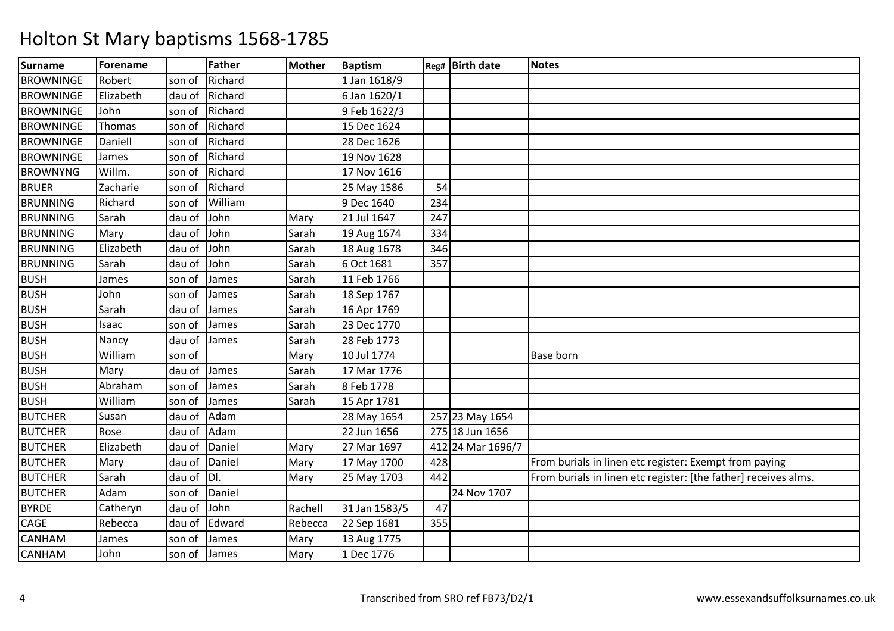| <b>Surname</b>   | Forename  |        | <b>Father</b> | <b>Mother</b> | <b>Baptism</b> |     | Reg# Birth date   | <b>Notes</b>                                                    |
|------------------|-----------|--------|---------------|---------------|----------------|-----|-------------------|-----------------------------------------------------------------|
| <b>BROWNINGE</b> | Robert    | son of | Richard       |               | 1 Jan 1618/9   |     |                   |                                                                 |
| <b>BROWNINGE</b> | Elizabeth | dau of | Richard       |               | 6 Jan 1620/1   |     |                   |                                                                 |
| <b>BROWNINGE</b> | John      | son of | Richard       |               | 9 Feb 1622/3   |     |                   |                                                                 |
| <b>BROWNINGE</b> | Thomas    | son of | Richard       |               | 15 Dec 1624    |     |                   |                                                                 |
| <b>BROWNINGE</b> | Daniell   | son of | Richard       |               | 28 Dec 1626    |     |                   |                                                                 |
| <b>BROWNINGE</b> | James     | son of | Richard       |               | 19 Nov 1628    |     |                   |                                                                 |
| <b>BROWNYNG</b>  | Willm.    | son of | Richard       |               | 17 Nov 1616    |     |                   |                                                                 |
| <b>BRUER</b>     | Zacharie  | son of | Richard       |               | 25 May 1586    | 54  |                   |                                                                 |
| <b>BRUNNING</b>  | Richard   | son of | William       |               | 9 Dec 1640     | 234 |                   |                                                                 |
| <b>BRUNNING</b>  | Sarah     | dau of | John          | Mary          | 21 Jul 1647    | 247 |                   |                                                                 |
| <b>BRUNNING</b>  | Mary      | dau of | John          | Sarah         | 19 Aug 1674    | 334 |                   |                                                                 |
| <b>BRUNNING</b>  | Elizabeth | dau of | John          | Sarah         | 18 Aug 1678    | 346 |                   |                                                                 |
| <b>BRUNNING</b>  | Sarah     | dau of | John          | Sarah         | 6 Oct 1681     | 357 |                   |                                                                 |
| <b>BUSH</b>      | James     | son of | James         | Sarah         | 11 Feb 1766    |     |                   |                                                                 |
| <b>BUSH</b>      | John      | son of | James         | Sarah         | 18 Sep 1767    |     |                   |                                                                 |
| <b>BUSH</b>      | Sarah     | dau of | James         | Sarah         | 16 Apr 1769    |     |                   |                                                                 |
| <b>BUSH</b>      | Isaac     | son of | James         | Sarah         | 23 Dec 1770    |     |                   |                                                                 |
| <b>BUSH</b>      | Nancy     | dau of | James         | Sarah         | 28 Feb 1773    |     |                   |                                                                 |
| <b>BUSH</b>      | William   | son of |               | Mary          | 10 Jul 1774    |     |                   | <b>Base born</b>                                                |
| <b>BUSH</b>      | Mary      | dau of | James         | Sarah         | 17 Mar 1776    |     |                   |                                                                 |
| <b>BUSH</b>      | Abraham   | son of | James         | Sarah         | 8 Feb 1778     |     |                   |                                                                 |
| <b>BUSH</b>      | William   | son of | James         | Sarah         | 15 Apr 1781    |     |                   |                                                                 |
| <b>BUTCHER</b>   | Susan     | dau of | Adam          |               | 28 May 1654    |     | 257 23 May 1654   |                                                                 |
| <b>BUTCHER</b>   | Rose      | dau of | Adam          |               | 22 Jun 1656    |     | 275 18 Jun 1656   |                                                                 |
| <b>BUTCHER</b>   | Elizabeth | dau of | Daniel        | Mary          | 27 Mar 1697    |     | 412 24 Mar 1696/7 |                                                                 |
| <b>BUTCHER</b>   | Mary      | dau of | Daniel        | Mary          | 17 May 1700    | 428 |                   | From burials in linen etc register: Exempt from paying          |
| <b>BUTCHER</b>   | Sarah     | dau of | IDI.          | Mary          | 25 May 1703    | 442 |                   | From burials in linen etc register: [the father] receives alms. |
| <b>BUTCHER</b>   | Adam      | son of | Daniel        |               |                |     | 24 Nov 1707       |                                                                 |
| <b>BYRDE</b>     | Catheryn  | dau of | John          | Rachell       | 31 Jan 1583/5  | 47  |                   |                                                                 |
| CAGE             | Rebecca   | dau of | Edward        | Rebecca       | 22 Sep 1681    | 355 |                   |                                                                 |
| <b>CANHAM</b>    | James     | son of | James         | Mary          | 13 Aug 1775    |     |                   |                                                                 |
| <b>CANHAM</b>    | John      | son of | James         | Mary          | 1 Dec 1776     |     |                   |                                                                 |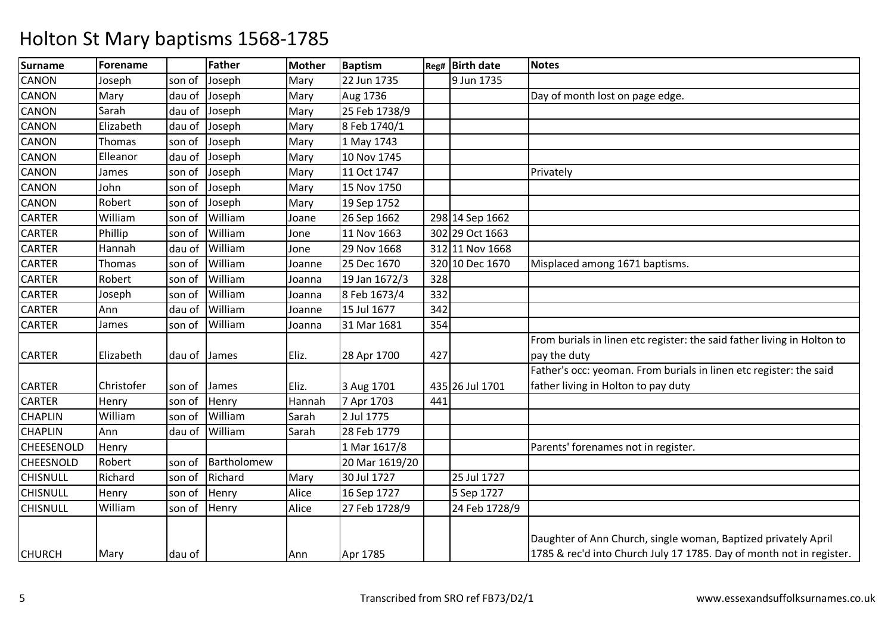| Surname          | Forename   |        | <b>Father</b> | <b>Mother</b> | <b>Baptism</b> |     | Reg# Birth date | <b>Notes</b>                                                                                                                           |
|------------------|------------|--------|---------------|---------------|----------------|-----|-----------------|----------------------------------------------------------------------------------------------------------------------------------------|
| <b>CANON</b>     | Joseph     | son of | Joseph        | Mary          | 22 Jun 1735    |     | 9 Jun 1735      |                                                                                                                                        |
| <b>CANON</b>     | Mary       | dau of | Joseph        | Mary          | Aug 1736       |     |                 | Day of month lost on page edge.                                                                                                        |
| CANON            | Sarah      | dau of | Joseph        | Mary          | 25 Feb 1738/9  |     |                 |                                                                                                                                        |
| <b>CANON</b>     | Elizabeth  | dau of | Joseph        | Mary          | 8 Feb 1740/1   |     |                 |                                                                                                                                        |
| <b>CANON</b>     | Thomas     | son of | Joseph        | Mary          | 1 May 1743     |     |                 |                                                                                                                                        |
| <b>CANON</b>     | Elleanor   | dau of | Joseph        | Mary          | 10 Nov 1745    |     |                 |                                                                                                                                        |
| CANON            | James      | son of | Joseph        | Mary          | 11 Oct 1747    |     |                 | Privately                                                                                                                              |
| <b>CANON</b>     | John       | son of | Joseph        | Mary          | 15 Nov 1750    |     |                 |                                                                                                                                        |
| <b>CANON</b>     | Robert     | son of | Joseph        | Mary          | 19 Sep 1752    |     |                 |                                                                                                                                        |
| <b>CARTER</b>    | William    | son of | William       | Joane         | 26 Sep 1662    |     | 298 14 Sep 1662 |                                                                                                                                        |
| <b>CARTER</b>    | Phillip    | son of | William       | Jone          | 11 Nov 1663    |     | 302 29 Oct 1663 |                                                                                                                                        |
| <b>CARTER</b>    | Hannah     | dau of | William       | Jone          | 29 Nov 1668    |     | 312 11 Nov 1668 |                                                                                                                                        |
| <b>CARTER</b>    | Thomas     | son of | William       | Joanne        | 25 Dec 1670    |     | 320 10 Dec 1670 | Misplaced among 1671 baptisms.                                                                                                         |
| <b>CARTER</b>    | Robert     | son of | William       | Joanna        | 19 Jan 1672/3  | 328 |                 |                                                                                                                                        |
| <b>CARTER</b>    | Joseph     | son of | William       | Joanna        | 8 Feb 1673/4   | 332 |                 |                                                                                                                                        |
| <b>CARTER</b>    | Ann        | dau of | William       | Joanne        | 15 Jul 1677    | 342 |                 |                                                                                                                                        |
| <b>CARTER</b>    | James      | son of | William       | Joanna        | 31 Mar 1681    | 354 |                 |                                                                                                                                        |
|                  |            |        |               |               |                |     |                 | From burials in linen etc register: the said father living in Holton to                                                                |
| <b>CARTER</b>    | Elizabeth  | dau of | James         | Eliz.         | 28 Apr 1700    | 427 |                 | pay the duty                                                                                                                           |
|                  |            |        |               |               |                |     |                 | Father's occ: yeoman. From burials in linen etc register: the said                                                                     |
| <b>CARTER</b>    | Christofer | son of | James         | Eliz.         | 3 Aug 1701     |     | 435 26 Jul 1701 | father living in Holton to pay duty                                                                                                    |
| <b>CARTER</b>    | Henry      | son of | Henry         | Hannah        | 7 Apr 1703     | 441 |                 |                                                                                                                                        |
| <b>CHAPLIN</b>   | William    | son of | William       | Sarah         | 2 Jul 1775     |     |                 |                                                                                                                                        |
| <b>CHAPLIN</b>   | Ann        | dau of | William       | Sarah         | 28 Feb 1779    |     |                 |                                                                                                                                        |
| CHEESENOLD       | Henry      |        |               |               | 1 Mar 1617/8   |     |                 | Parents' forenames not in register.                                                                                                    |
| <b>CHEESNOLD</b> | Robert     | son of | Bartholomew   |               | 20 Mar 1619/20 |     |                 |                                                                                                                                        |
| <b>CHISNULL</b>  | Richard    | son of | Richard       | Mary          | 30 Jul 1727    |     | 25 Jul 1727     |                                                                                                                                        |
| <b>CHISNULL</b>  | Henry      | son of | Henry         | Alice         | 16 Sep 1727    |     | 5 Sep 1727      |                                                                                                                                        |
| <b>CHISNULL</b>  | William    | son of | Henry         | Alice         | 27 Feb 1728/9  |     | 24 Feb 1728/9   |                                                                                                                                        |
| <b>CHURCH</b>    | Mary       | dau of |               | Ann           | Apr 1785       |     |                 | Daughter of Ann Church, single woman, Baptized privately April<br>1785 & rec'd into Church July 17 1785. Day of month not in register. |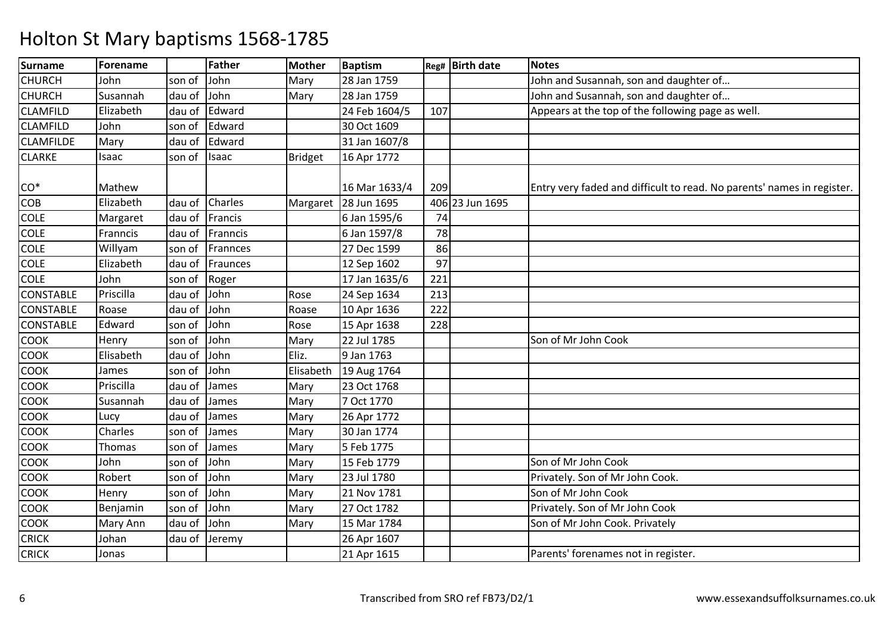| <b>Surname</b>   | Forename  |        | <b>Father</b> | <b>Mother</b>  | <b>Baptism</b> |     | Reg# Birth date | Notes                                                                  |
|------------------|-----------|--------|---------------|----------------|----------------|-----|-----------------|------------------------------------------------------------------------|
| <b>CHURCH</b>    | John      | son of | John          | Mary           | 28 Jan 1759    |     |                 | John and Susannah, son and daughter of                                 |
| <b>CHURCH</b>    | Susannah  | dau of | John          | Mary           | 28 Jan 1759    |     |                 | John and Susannah, son and daughter of                                 |
| <b>CLAMFILD</b>  | Elizabeth | dau of | Edward        |                | 24 Feb 1604/5  | 107 |                 | Appears at the top of the following page as well.                      |
| <b>CLAMFILD</b>  | John      | son of | Edward        |                | 30 Oct 1609    |     |                 |                                                                        |
| <b>CLAMFILDE</b> | Mary      | dau of | Edward        |                | 31 Jan 1607/8  |     |                 |                                                                        |
| <b>CLARKE</b>    | Isaac     | son of | <b>Isaac</b>  | <b>Bridget</b> | 16 Apr 1772    |     |                 |                                                                        |
|                  |           |        |               |                |                |     |                 |                                                                        |
| $CO*$            | Mathew    |        |               |                | 16 Mar 1633/4  | 209 |                 | Entry very faded and difficult to read. No parents' names in register. |
| COB              | Elizabeth | dau of | Charles       | Margaret       | 28 Jun 1695    |     | 406 23 Jun 1695 |                                                                        |
| <b>COLE</b>      | Margaret  | dau of | Francis       |                | 6 Jan 1595/6   | 74  |                 |                                                                        |
| <b>COLE</b>      | Franncis  | dau of | Franncis      |                | 6 Jan 1597/8   | 78  |                 |                                                                        |
| <b>COLE</b>      | Willyam   | son of | Frannces      |                | 27 Dec 1599    | 86  |                 |                                                                        |
| <b>COLE</b>      | Elizabeth | dau of | Fraunces      |                | 12 Sep 1602    | 97  |                 |                                                                        |
| <b>COLE</b>      | John      | son of | Roger         |                | 17 Jan 1635/6  | 221 |                 |                                                                        |
| <b>CONSTABLE</b> | Priscilla | dau of | John          | Rose           | 24 Sep 1634    | 213 |                 |                                                                        |
| <b>CONSTABLE</b> | Roase     | dau of | John          | Roase          | 10 Apr 1636    | 222 |                 |                                                                        |
| <b>CONSTABLE</b> | Edward    | son of | John          | Rose           | 15 Apr 1638    | 228 |                 |                                                                        |
| <b>COOK</b>      | Henry     | son of | John          | Mary           | 22 Jul 1785    |     |                 | Son of Mr John Cook                                                    |
| <b>COOK</b>      | Elisabeth | dau of | John          | Eliz.          | 9 Jan 1763     |     |                 |                                                                        |
| <b>COOK</b>      | James     | son of | John          | Elisabeth      | 19 Aug 1764    |     |                 |                                                                        |
| <b>COOK</b>      | Priscilla | dau of | James         | Mary           | 23 Oct 1768    |     |                 |                                                                        |
| <b>COOK</b>      | Susannah  | dau of | James         | Mary           | 7 Oct 1770     |     |                 |                                                                        |
| <b>COOK</b>      | Lucy      | dau of | James         | Mary           | 26 Apr 1772    |     |                 |                                                                        |
| <b>COOK</b>      | Charles   | son of | James         | Mary           | 30 Jan 1774    |     |                 |                                                                        |
| COOK             | Thomas    | son of | James         | Mary           | 5 Feb 1775     |     |                 |                                                                        |
| <b>COOK</b>      | John      | son of | John          | Mary           | 15 Feb 1779    |     |                 | Son of Mr John Cook                                                    |
| <b>COOK</b>      | Robert    | son of | John          | Mary           | 23 Jul 1780    |     |                 | Privately. Son of Mr John Cook.                                        |
| <b>COOK</b>      | Henry     | son of | John          | Mary           | 21 Nov 1781    |     |                 | Son of Mr John Cook                                                    |
| COOK             | Benjamin  | son of | John          | Mary           | 27 Oct 1782    |     |                 | Privately. Son of Mr John Cook                                         |
| <b>COOK</b>      | Mary Ann  | dau of | John          | Mary           | 15 Mar 1784    |     |                 | Son of Mr John Cook. Privately                                         |
| <b>CRICK</b>     | Johan     | dau of | Jeremy        |                | 26 Apr 1607    |     |                 |                                                                        |
| <b>CRICK</b>     | Jonas     |        |               |                | 21 Apr 1615    |     |                 | Parents' forenames not in register.                                    |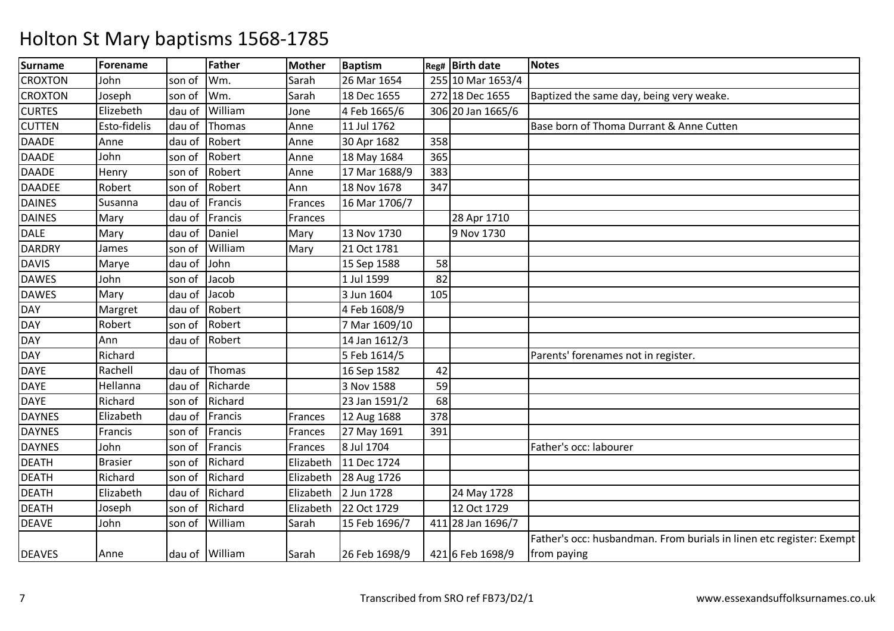| <b>Surname</b> | <b>Forename</b> |        | <b>Father</b>  | <b>Mother</b> | <b>Baptism</b> |     | Reg# Birth date   | <b>Notes</b>                                                         |
|----------------|-----------------|--------|----------------|---------------|----------------|-----|-------------------|----------------------------------------------------------------------|
| <b>CROXTON</b> | John            | son of | Wm.            | Sarah         | 26 Mar 1654    |     | 255 10 Mar 1653/4 |                                                                      |
| <b>CROXTON</b> | Joseph          | son of | Wm.            | Sarah         | 18 Dec 1655    |     | 272 18 Dec 1655   | Baptized the same day, being very weake.                             |
| <b>CURTES</b>  | Elizebeth       | dau of | William        | Jone          | 4 Feb 1665/6   |     | 306 20 Jan 1665/6 |                                                                      |
| <b>CUTTEN</b>  | Esto-fidelis    | dau of | Thomas         | Anne          | 11 Jul 1762    |     |                   | Base born of Thoma Durrant & Anne Cutten                             |
| <b>DAADE</b>   | Anne            | dau of | Robert         | Anne          | 30 Apr 1682    | 358 |                   |                                                                      |
| <b>DAADE</b>   | John            | son of | Robert         | Anne          | 18 May 1684    | 365 |                   |                                                                      |
| <b>DAADE</b>   | Henry           | son of | Robert         | Anne          | 17 Mar 1688/9  | 383 |                   |                                                                      |
| <b>DAADEE</b>  | Robert          | son of | Robert         | Ann           | 18 Nov 1678    | 347 |                   |                                                                      |
| <b>DAINES</b>  | Susanna         | dau of | Francis        | Frances       | 16 Mar 1706/7  |     |                   |                                                                      |
| <b>DAINES</b>  | Mary            | dau of | Francis        | Frances       |                |     | 28 Apr 1710       |                                                                      |
| <b>DALE</b>    | Mary            | dau of | Daniel         | Mary          | 13 Nov 1730    |     | 9 Nov 1730        |                                                                      |
| <b>DARDRY</b>  | James           | son of | William        | Mary          | 21 Oct 1781    |     |                   |                                                                      |
| <b>DAVIS</b>   | Marye           | dau of | John           |               | 15 Sep 1588    | 58  |                   |                                                                      |
| <b>DAWES</b>   | John            | son of | Jacob          |               | 1 Jul 1599     | 82  |                   |                                                                      |
| <b>DAWES</b>   | Mary            | dau of | Jacob          |               | 3 Jun 1604     | 105 |                   |                                                                      |
| <b>DAY</b>     | Margret         | dau of | Robert         |               | 4 Feb 1608/9   |     |                   |                                                                      |
| <b>DAY</b>     | Robert          | son of | Robert         |               | 7 Mar 1609/10  |     |                   |                                                                      |
| <b>DAY</b>     | Ann             | dau of | Robert         |               | 14 Jan 1612/3  |     |                   |                                                                      |
| <b>DAY</b>     | Richard         |        |                |               | 5 Feb 1614/5   |     |                   | Parents' forenames not in register.                                  |
| <b>DAYE</b>    | Rachell         | dau of | Thomas         |               | 16 Sep 1582    | 42  |                   |                                                                      |
| <b>DAYE</b>    | Hellanna        | dau of | Richarde       |               | 3 Nov 1588     | 59  |                   |                                                                      |
| <b>DAYE</b>    | Richard         | son of | Richard        |               | 23 Jan 1591/2  | 68  |                   |                                                                      |
| <b>DAYNES</b>  | Elizabeth       | dau of | Francis        | Frances       | 12 Aug 1688    | 378 |                   |                                                                      |
| <b>DAYNES</b>  | Francis         | son of | Francis        | Frances       | 27 May 1691    | 391 |                   |                                                                      |
| <b>DAYNES</b>  | John            | son of | Francis        | Frances       | 8 Jul 1704     |     |                   | Father's occ: labourer                                               |
| <b>DEATH</b>   | <b>Brasier</b>  | son of | Richard        | Elizabeth     | 11 Dec 1724    |     |                   |                                                                      |
| <b>DEATH</b>   | Richard         | son of | Richard        | Elizabeth     | 28 Aug 1726    |     |                   |                                                                      |
| <b>DEATH</b>   | Elizabeth       | dau of | Richard        | Elizabeth     | 2 Jun 1728     |     | 24 May 1728       |                                                                      |
| <b>DEATH</b>   | Joseph          | son of | Richard        | Elizabeth     | 22 Oct 1729    |     | 12 Oct 1729       |                                                                      |
| <b>DEAVE</b>   | John            | son of | William        | Sarah         | 15 Feb 1696/7  |     | 411 28 Jan 1696/7 |                                                                      |
|                |                 |        |                |               |                |     |                   | Father's occ: husbandman. From burials in linen etc register: Exempt |
| <b>DEAVES</b>  | Anne            |        | dau of William | Sarah         | 26 Feb 1698/9  |     | 421 6 Feb 1698/9  | from paying                                                          |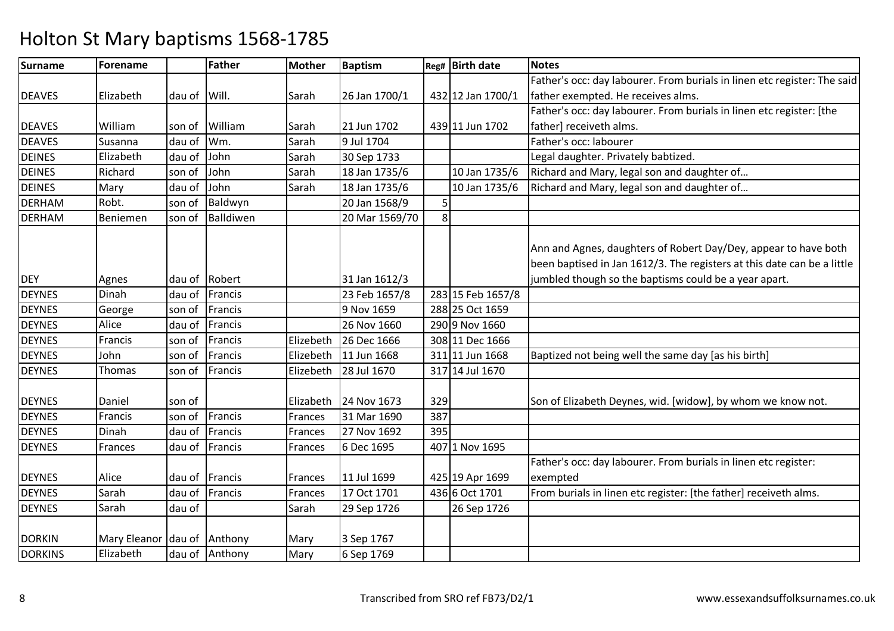| Surname        | Forename                    |        | <b>Father</b>  | <b>Mother</b> | <b>Baptism</b> |     | Reg# Birth date   | <b>Notes</b>                                                                |
|----------------|-----------------------------|--------|----------------|---------------|----------------|-----|-------------------|-----------------------------------------------------------------------------|
|                |                             |        |                |               |                |     |                   | Father's occ: day labourer. From burials in linen etc register: The said    |
| <b>DEAVES</b>  | Elizabeth                   | dau of | Will.          | Sarah         | 26 Jan 1700/1  |     | 432 12 Jan 1700/1 | father exempted. He receives alms.                                          |
|                |                             |        |                |               |                |     |                   | Father's occ: day labourer. From burials in linen etc register: [the        |
| <b>DEAVES</b>  | William                     | son of | William        | Sarah         | 21 Jun 1702    |     | 439 11 Jun 1702   | father] receiveth alms.                                                     |
| <b>DEAVES</b>  | Susanna                     | dau of | Wm.            | Sarah         | 9 Jul 1704     |     |                   | Father's occ: labourer                                                      |
| <b>DEINES</b>  | Elizabeth                   | dau of | John           | Sarah         | 30 Sep 1733    |     |                   | Legal daughter. Privately babtized.                                         |
| <b>DEINES</b>  | Richard                     | son of | John           | Sarah         | 18 Jan 1735/6  |     | 10 Jan 1735/6     | Richard and Mary, legal son and daughter of                                 |
| <b>DEINES</b>  | Mary                        | dau of | John           | Sarah         | 18 Jan 1735/6  |     | 10 Jan 1735/6     | Richard and Mary, legal son and daughter of                                 |
| <b>DERHAM</b>  | Robt.                       | son of | Baldwyn        |               | 20 Jan 1568/9  | 5   |                   |                                                                             |
| <b>DERHAM</b>  | Beniemen                    | son of | Balldiwen      |               | 20 Mar 1569/70 | 8   |                   |                                                                             |
|                |                             |        |                |               |                |     |                   |                                                                             |
|                |                             |        |                |               |                |     |                   | Ann and Agnes, daughters of Robert Day/Dey, appear to have both             |
|                |                             |        |                |               |                |     |                   | been baptised in Jan 1612/3. The registers at this date can be a little     |
| <b>DEY</b>     | Agnes                       | dau of | Robert         |               | 31 Jan 1612/3  |     |                   | jumbled though so the baptisms could be a year apart.                       |
| <b>DEYNES</b>  | Dinah                       | dau of | Francis        |               | 23 Feb 1657/8  |     | 283 15 Feb 1657/8 |                                                                             |
| <b>DEYNES</b>  | George                      | son of | Francis        |               | 9 Nov 1659     |     | 288 25 Oct 1659   |                                                                             |
| <b>DEYNES</b>  | Alice                       | dau of | Francis        |               | 26 Nov 1660    |     | 290 9 Nov 1660    |                                                                             |
| <b>DEYNES</b>  | Francis                     | son of | Francis        | Elizebeth     | 26 Dec 1666    |     | 308 11 Dec 1666   |                                                                             |
| <b>DEYNES</b>  | John                        | son of | Francis        | Elizebeth     | 11 Jun 1668    |     | 311 11 Jun 1668   | Baptized not being well the same day [as his birth]                         |
| <b>DEYNES</b>  | Thomas                      | son of | Francis        | Elizebeth     | 28 Jul 1670    |     | 317 14 Jul 1670   |                                                                             |
| <b>DEYNES</b>  | Daniel                      | son of |                | Elizabeth     | 24 Nov 1673    | 329 |                   | Son of Elizabeth Deynes, wid. [widow], by whom we know not.                 |
| <b>DEYNES</b>  | Francis                     | son of | Francis        | Frances       | 31 Mar 1690    | 387 |                   |                                                                             |
| <b>DEYNES</b>  | Dinah                       | dau of | Francis        | Frances       | 27 Nov 1692    | 395 |                   |                                                                             |
| <b>DEYNES</b>  | Frances                     | dau of | Francis        | Frances       | 6 Dec 1695     |     | 407 1 Nov 1695    |                                                                             |
| <b>DEYNES</b>  | Alice                       | dau of | Francis        | Frances       | 11 Jul 1699    |     | 425 19 Apr 1699   | Father's occ: day labourer. From burials in linen etc register:<br>exempted |
| <b>DEYNES</b>  | Sarah                       | dau of | Francis        | Frances       | 17 Oct 1701    |     | 436 6 Oct 1701    | From burials in linen etc register: [the father] receiveth alms.            |
| <b>DEYNES</b>  | Sarah                       | dau of |                | Sarah         | 29 Sep 1726    |     | 26 Sep 1726       |                                                                             |
|                |                             |        |                |               |                |     |                   |                                                                             |
| <b>DORKIN</b>  | Mary Eleanor dau of Anthony |        |                | Mary          | 3 Sep 1767     |     |                   |                                                                             |
| <b>DORKINS</b> | Elizabeth                   |        | dau of Anthony | Mary          | 6 Sep 1769     |     |                   |                                                                             |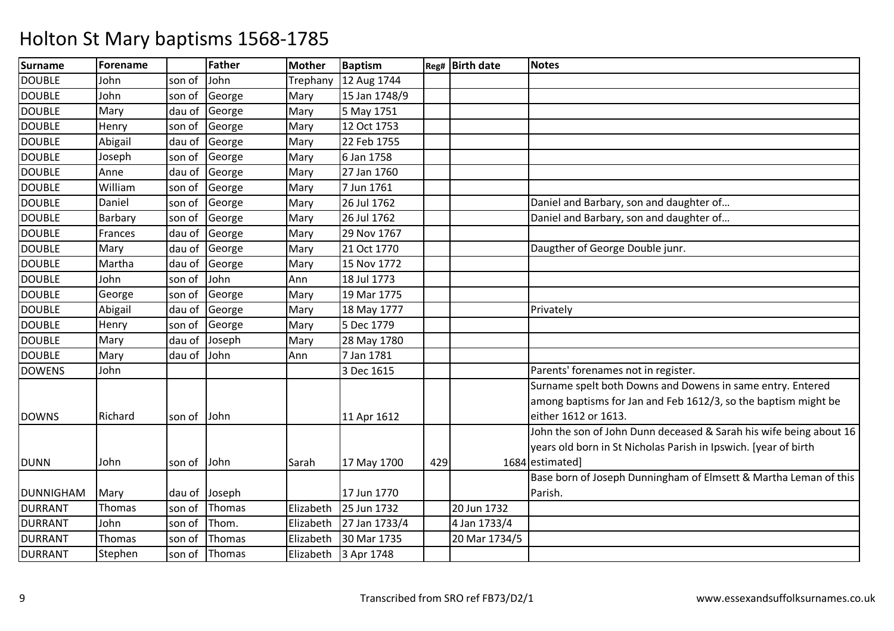| <b>Surname</b>   | Forename |        | <b>Father</b> | Mother    | <b>Baptism</b> |     | Reg# Birth date | <b>Notes</b>                                                       |
|------------------|----------|--------|---------------|-----------|----------------|-----|-----------------|--------------------------------------------------------------------|
| <b>DOUBLE</b>    | John     | son of | John          | Trephany  | 12 Aug 1744    |     |                 |                                                                    |
| <b>DOUBLE</b>    | John     | son of | George        | Mary      | 15 Jan 1748/9  |     |                 |                                                                    |
| <b>DOUBLE</b>    | Mary     | dau of | George        | Mary      | 5 May 1751     |     |                 |                                                                    |
| <b>DOUBLE</b>    | Henry    | son of | George        | Mary      | 12 Oct 1753    |     |                 |                                                                    |
| <b>DOUBLE</b>    | Abigail  | dau of | George        | Mary      | 22 Feb 1755    |     |                 |                                                                    |
| <b>DOUBLE</b>    | Joseph   | son of | George        | Mary      | 6 Jan 1758     |     |                 |                                                                    |
| <b>DOUBLE</b>    | Anne     | dau of | George        | Mary      | 27 Jan 1760    |     |                 |                                                                    |
| <b>DOUBLE</b>    | William  | son of | George        | Mary      | 7 Jun 1761     |     |                 |                                                                    |
| <b>DOUBLE</b>    | Daniel   | son of | George        | Mary      | 26 Jul 1762    |     |                 | Daniel and Barbary, son and daughter of                            |
| <b>DOUBLE</b>    | Barbary  | son of | George        | Mary      | 26 Jul 1762    |     |                 | Daniel and Barbary, son and daughter of                            |
| <b>DOUBLE</b>    | Frances  | dau of | George        | Mary      | 29 Nov 1767    |     |                 |                                                                    |
| <b>DOUBLE</b>    | Mary     | dau of | George        | Mary      | 21 Oct 1770    |     |                 | Daugther of George Double junr.                                    |
| <b>DOUBLE</b>    | Martha   | dau of | George        | Mary      | 15 Nov 1772    |     |                 |                                                                    |
| <b>DOUBLE</b>    | John     | son of | John          | Ann       | 18 Jul 1773    |     |                 |                                                                    |
| <b>DOUBLE</b>    | George   | son of | George        | Mary      | 19 Mar 1775    |     |                 |                                                                    |
| <b>DOUBLE</b>    | Abigail  | dau of | George        | Mary      | 18 May 1777    |     |                 | Privately                                                          |
| <b>DOUBLE</b>    | Henry    | son of | George        | Mary      | 5 Dec 1779     |     |                 |                                                                    |
| <b>DOUBLE</b>    | Mary     | dau of | Joseph        | Mary      | 28 May 1780    |     |                 |                                                                    |
| <b>DOUBLE</b>    | Mary     | dau of | John          | Ann       | 7 Jan 1781     |     |                 |                                                                    |
| <b>DOWENS</b>    | John     |        |               |           | 3 Dec 1615     |     |                 | Parents' forenames not in register.                                |
|                  |          |        |               |           |                |     |                 | Surname spelt both Downs and Dowens in same entry. Entered         |
|                  |          |        |               |           |                |     |                 | among baptisms for Jan and Feb 1612/3, so the baptism might be     |
| <b>DOWNS</b>     | Richard  | son of | John          |           | 11 Apr 1612    |     |                 | either 1612 or 1613.                                               |
|                  |          |        |               |           |                |     |                 | John the son of John Dunn deceased & Sarah his wife being about 16 |
|                  |          |        |               |           |                |     |                 | years old born in St Nicholas Parish in Ipswich. [year of birth]   |
| <b>DUNN</b>      | John     | son of | John          | Sarah     | 17 May 1700    | 429 |                 | 1684 estimated]                                                    |
|                  |          |        |               |           |                |     |                 | Base born of Joseph Dunningham of Elmsett & Martha Leman of this   |
| <b>DUNNIGHAM</b> | Mary     | dau of | Joseph        |           | 17 Jun 1770    |     |                 | Parish.                                                            |
| <b>DURRANT</b>   | Thomas   | son of | Thomas        | Elizabeth | 25 Jun 1732    |     | 20 Jun 1732     |                                                                    |
| <b>DURRANT</b>   | John     | son of | Thom.         | Elizabeth | 27 Jan 1733/4  |     | 4 Jan 1733/4    |                                                                    |
| <b>DURRANT</b>   | Thomas   | son of | Thomas        | Elizabeth | 30 Mar 1735    |     | 20 Mar 1734/5   |                                                                    |
| <b>DURRANT</b>   | Stephen  | son of | Thomas        | Elizabeth | 3 Apr 1748     |     |                 |                                                                    |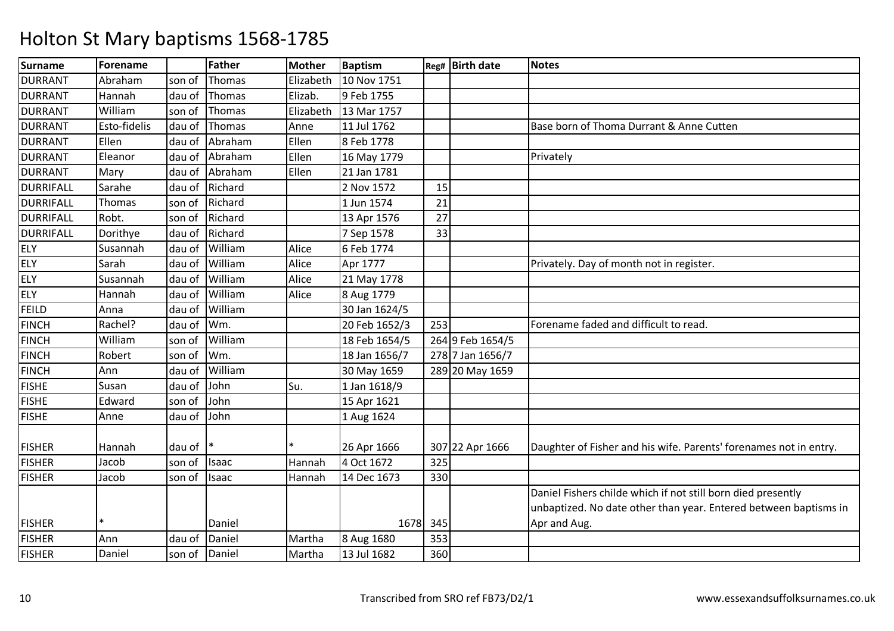| <b>Surname</b>   | Forename     |        | <b>Father</b> | <b>Mother</b> | <b>Baptism</b> |     | Reg# Birth date  | <b>Notes</b>                                                      |
|------------------|--------------|--------|---------------|---------------|----------------|-----|------------------|-------------------------------------------------------------------|
| <b>DURRANT</b>   | Abraham      | son of | Thomas        | Elizabeth     | 10 Nov 1751    |     |                  |                                                                   |
| <b>DURRANT</b>   | Hannah       | dau of | Thomas        | Elizab.       | 9 Feb 1755     |     |                  |                                                                   |
| <b>DURRANT</b>   | William      | son of | Thomas        | Elizabeth     | 13 Mar 1757    |     |                  |                                                                   |
| <b>DURRANT</b>   | Esto-fidelis | dau of | Thomas        | Anne          | 11 Jul 1762    |     |                  | Base born of Thoma Durrant & Anne Cutten                          |
| <b>DURRANT</b>   | Ellen        | dau of | Abraham       | Ellen         | 8 Feb 1778     |     |                  |                                                                   |
| <b>DURRANT</b>   | Eleanor      | dau of | Abraham       | Ellen         | 16 May 1779    |     |                  | Privately                                                         |
| <b>DURRANT</b>   | Mary         | dau of | Abraham       | Ellen         | 21 Jan 1781    |     |                  |                                                                   |
| <b>DURRIFALL</b> | Sarahe       | dau of | Richard       |               | 2 Nov 1572     | 15  |                  |                                                                   |
| <b>DURRIFALL</b> | Thomas       | son of | Richard       |               | 1 Jun 1574     | 21  |                  |                                                                   |
| <b>DURRIFALL</b> | Robt.        | son of | Richard       |               | 13 Apr 1576    | 27  |                  |                                                                   |
| <b>DURRIFALL</b> | Dorithye     | dau of | Richard       |               | 7 Sep 1578     | 33  |                  |                                                                   |
| <b>ELY</b>       | Susannah     | dau of | William       | Alice         | 6 Feb 1774     |     |                  |                                                                   |
| <b>ELY</b>       | Sarah        | dau of | William       | Alice         | Apr 1777       |     |                  | Privately. Day of month not in register.                          |
| <b>ELY</b>       | Susannah     | dau of | William       | Alice         | 21 May 1778    |     |                  |                                                                   |
| <b>ELY</b>       | Hannah       | dau of | William       | Alice         | 8 Aug 1779     |     |                  |                                                                   |
| FEILD            | Anna         | dau of | William       |               | 30 Jan 1624/5  |     |                  |                                                                   |
| <b>FINCH</b>     | Rachel?      | dau of | Wm.           |               | 20 Feb 1652/3  | 253 |                  | Forename faded and difficult to read.                             |
| <b>FINCH</b>     | William      | son of | William       |               | 18 Feb 1654/5  |     | 264 9 Feb 1654/5 |                                                                   |
| <b>FINCH</b>     | Robert       | son of | Wm.           |               | 18 Jan 1656/7  |     | 278 7 Jan 1656/7 |                                                                   |
| <b>FINCH</b>     | Ann          | dau of | William       |               | 30 May 1659    |     | 289 20 May 1659  |                                                                   |
| <b>FISHE</b>     | Susan        | dau of | John          | Su.           | 1 Jan 1618/9   |     |                  |                                                                   |
| <b>FISHE</b>     | Edward       | son of | John          |               | 15 Apr 1621    |     |                  |                                                                   |
| <b>FISHE</b>     | Anne         | dau of | John          |               | 1 Aug 1624     |     |                  |                                                                   |
|                  |              |        |               |               |                |     |                  |                                                                   |
| <b>FISHER</b>    | Hannah       | dau of |               |               | 26 Apr 1666    |     | 307 22 Apr 1666  | Daughter of Fisher and his wife. Parents' forenames not in entry. |
| <b>FISHER</b>    | Jacob        | son of | Isaac         | Hannah        | 4 Oct 1672     | 325 |                  |                                                                   |
| <b>FISHER</b>    | Jacob        | son of | <b>Isaac</b>  | Hannah        | 14 Dec 1673    | 330 |                  |                                                                   |
|                  |              |        |               |               |                |     |                  | Daniel Fishers childe which if not still born died presently      |
|                  |              |        |               |               |                |     |                  | unbaptized. No date other than year. Entered between baptisms in  |
| <b>FISHER</b>    | $\ast$       |        | Daniel        |               | 1678 345       |     |                  | Apr and Aug.                                                      |
| <b>FISHER</b>    | Ann          | dau of | Daniel        | Martha        | 8 Aug 1680     | 353 |                  |                                                                   |
| <b>FISHER</b>    | Daniel       | son of | Daniel        | Martha        | 13 Jul 1682    | 360 |                  |                                                                   |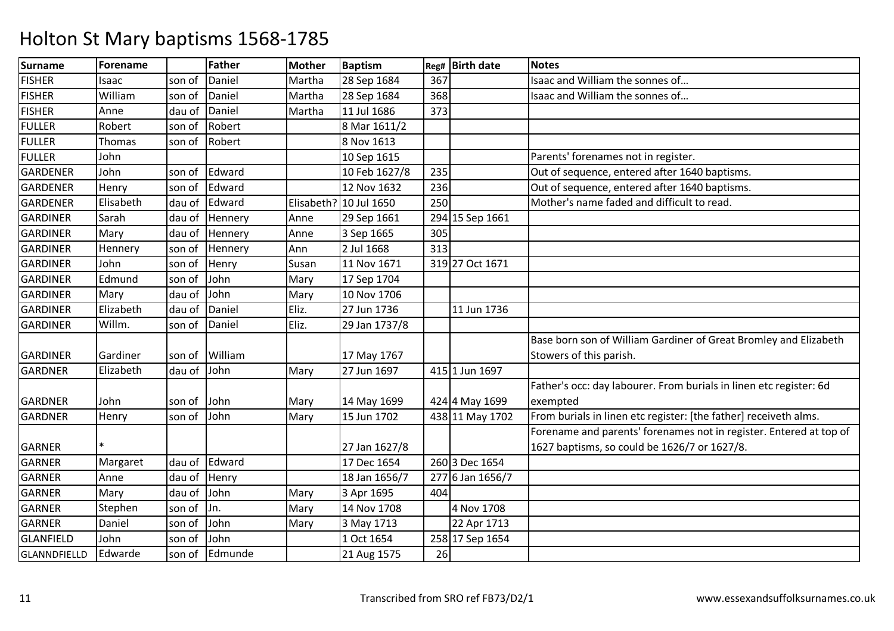| Surname          | <b>Forename</b> |        | <b>Father</b> | <b>Mother</b> | <b>Baptism</b>         | Reg# | <b>Birth date</b> | <b>Notes</b>                                                       |
|------------------|-----------------|--------|---------------|---------------|------------------------|------|-------------------|--------------------------------------------------------------------|
| <b>FISHER</b>    | Isaac           | son of | Daniel        | Martha        | 28 Sep 1684            | 367  |                   | Isaac and William the sonnes of                                    |
| <b>FISHER</b>    | William         | son of | Daniel        | Martha        | 28 Sep 1684            | 368  |                   | Isaac and William the sonnes of                                    |
| <b>FISHER</b>    | Anne            | dau of | Daniel        | Martha        | 11 Jul 1686            | 373  |                   |                                                                    |
| <b>FULLER</b>    | Robert          | son of | Robert        |               | 8 Mar 1611/2           |      |                   |                                                                    |
| <b>FULLER</b>    | Thomas          | son of | Robert        |               | 8 Nov 1613             |      |                   |                                                                    |
| <b>FULLER</b>    | John            |        |               |               | 10 Sep 1615            |      |                   | Parents' forenames not in register.                                |
| GARDENER         | John            | son of | Edward        |               | 10 Feb 1627/8          | 235  |                   | Out of sequence, entered after 1640 baptisms.                      |
| <b>GARDENER</b>  | Henry           | son of | Edward        |               | 12 Nov 1632            | 236  |                   | Out of sequence, entered after 1640 baptisms.                      |
| <b>GARDENER</b>  | Elisabeth       | dau of | Edward        |               | Elisabeth? 10 Jul 1650 | 250  |                   | Mother's name faded and difficult to read.                         |
| <b>GARDINER</b>  | Sarah           | dau of | Hennery       | Anne          | 29 Sep 1661            |      | 294 15 Sep 1661   |                                                                    |
| <b>GARDINER</b>  | Mary            | dau of | Hennery       | Anne          | 3 Sep 1665             | 305  |                   |                                                                    |
| <b>GARDINER</b>  | Hennery         | son of | Hennery       | Ann           | 2 Jul 1668             | 313  |                   |                                                                    |
| <b>GARDINER</b>  | John            | son of | Henry         | Susan         | 11 Nov 1671            |      | 319 27 Oct 1671   |                                                                    |
| GARDINER         | Edmund          | son of | John          | Mary          | 17 Sep 1704            |      |                   |                                                                    |
| <b>GARDINER</b>  | Mary            | dau of | John          | Mary          | 10 Nov 1706            |      |                   |                                                                    |
| <b>GARDINER</b>  | Elizabeth       | dau of | Daniel        | Eliz.         | 27 Jun 1736            |      | 11 Jun 1736       |                                                                    |
| GARDINER         | Willm.          | son of | Daniel        | Eliz.         | 29 Jan 1737/8          |      |                   |                                                                    |
|                  |                 |        |               |               |                        |      |                   | Base born son of William Gardiner of Great Bromley and Elizabeth   |
| <b>GARDINER</b>  | Gardiner        | son of | William       |               | 17 May 1767            |      |                   | Stowers of this parish.                                            |
| <b>GARDNER</b>   | Elizabeth       | dau of | John          | Mary          | 27 Jun 1697            |      | 415 1 Jun 1697    |                                                                    |
|                  |                 |        |               |               |                        |      |                   | Father's occ: day labourer. From burials in linen etc register: 6d |
| <b>GARDNER</b>   | John            | son of | John          | Mary          | 14 May 1699            |      | 424 4 May 1699    | exempted                                                           |
| <b>GARDNER</b>   | Henry           | son of | John          | Mary          | 15 Jun 1702            |      | 438 11 May 1702   | From burials in linen etc register: [the father] receiveth alms.   |
|                  |                 |        |               |               |                        |      |                   | Forename and parents' forenames not in register. Entered at top of |
| <b>GARNER</b>    | $\ast$          |        |               |               | 27 Jan 1627/8          |      |                   | 1627 baptisms, so could be 1626/7 or 1627/8.                       |
| <b>GARNER</b>    | Margaret        | dau of | Edward        |               | 17 Dec 1654            |      | 260 3 Dec 1654    |                                                                    |
| GARNER           | Anne            | dau of | Henry         |               | 18 Jan 1656/7          |      | 277 6 Jan 1656/7  |                                                                    |
| <b>GARNER</b>    | Mary            | dau of | John          | Mary          | 3 Apr 1695             | 404  |                   |                                                                    |
| <b>GARNER</b>    | Stephen         | son of | Jn.           | Mary          | 14 Nov 1708            |      | 4 Nov 1708        |                                                                    |
| <b>GARNER</b>    | Daniel          | son of | John          | Mary          | 3 May 1713             |      | 22 Apr 1713       |                                                                    |
| <b>GLANFIELD</b> | John            | son of | John          |               | 1 Oct 1654             |      | 258 17 Sep 1654   |                                                                    |
| GLANNDFIELLD     | Edwarde         | son of | Edmunde       |               | 21 Aug 1575            | 26   |                   |                                                                    |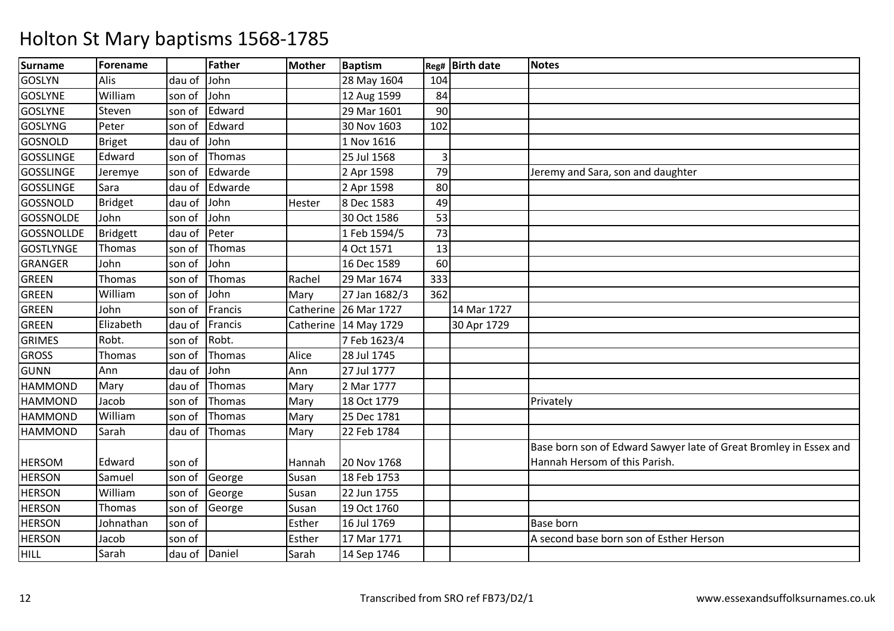| <b>Surname</b>    | Forename        |               | <b>Father</b> | <b>Mother</b> | <b>Baptism</b> | Reg#           | <b>Birth date</b> | <b>Notes</b>                                                      |
|-------------------|-----------------|---------------|---------------|---------------|----------------|----------------|-------------------|-------------------------------------------------------------------|
| <b>GOSLYN</b>     | Alis            | dau of        | John          |               | 28 May 1604    | 104            |                   |                                                                   |
| <b>GOSLYNE</b>    | William         | son of        | John          |               | 12 Aug 1599    | 84             |                   |                                                                   |
| <b>GOSLYNE</b>    | Steven          | son of        | Edward        |               | 29 Mar 1601    | 90             |                   |                                                                   |
| <b>GOSLYNG</b>    | Peter           | son of        | Edward        |               | 30 Nov 1603    | 102            |                   |                                                                   |
| <b>GOSNOLD</b>    | <b>Briget</b>   | dau of        | John          |               | 1 Nov 1616     |                |                   |                                                                   |
| <b>GOSSLINGE</b>  | Edward          | son of        | Thomas        |               | 25 Jul 1568    | $\overline{3}$ |                   |                                                                   |
| <b>GOSSLINGE</b>  | Jeremye         | son of        | Edwarde       |               | 2 Apr 1598     | 79             |                   | Jeremy and Sara, son and daughter                                 |
| <b>GOSSLINGE</b>  | Sara            | dau of        | Edwarde       |               | 2 Apr 1598     | 80             |                   |                                                                   |
| GOSSNOLD          | <b>Bridget</b>  | dau of        | John          | Hester        | 8 Dec 1583     | 49             |                   |                                                                   |
| <b>GOSSNOLDE</b>  | John            | son of        | John          |               | 30 Oct 1586    | 53             |                   |                                                                   |
| <b>GOSSNOLLDE</b> | <b>Bridgett</b> | dau of        | Peter         |               | 1 Feb 1594/5   | 73             |                   |                                                                   |
| <b>GOSTLYNGE</b>  | Thomas          | son of        | Thomas        |               | 4 Oct 1571     | 13             |                   |                                                                   |
| <b>GRANGER</b>    | John            | son of        | John          |               | 16 Dec 1589    | 60             |                   |                                                                   |
| <b>GREEN</b>      | Thomas          | son of        | Thomas        | Rachel        | 29 Mar 1674    | 333            |                   |                                                                   |
| GREEN             | William         | son of        | John          | Mary          | 27 Jan 1682/3  | 362            |                   |                                                                   |
| <b>GREEN</b>      | John            | son of        | Francis       | Catherine     | 26 Mar 1727    |                | 14 Mar 1727       |                                                                   |
| <b>GREEN</b>      | Elizabeth       | dau of        | Francis       | Catherine     | 14 May 1729    |                | 30 Apr 1729       |                                                                   |
| <b>GRIMES</b>     | Robt.           | son of        | Robt.         |               | 7 Feb 1623/4   |                |                   |                                                                   |
| <b>GROSS</b>      | Thomas          | son of        | Thomas        | Alice         | 28 Jul 1745    |                |                   |                                                                   |
| <b>GUNN</b>       | Ann             | dau of        | John          | Ann           | 27 Jul 1777    |                |                   |                                                                   |
| <b>HAMMOND</b>    | Mary            | dau of        | Thomas        | Mary          | 2 Mar 1777     |                |                   |                                                                   |
| <b>HAMMOND</b>    | Jacob           | son of        | Thomas        | Mary          | 18 Oct 1779    |                |                   | Privately                                                         |
| <b>HAMMOND</b>    | William         | son of        | Thomas        | Mary          | 25 Dec 1781    |                |                   |                                                                   |
| <b>HAMMOND</b>    | Sarah           | dau of        | Thomas        | Mary          | 22 Feb 1784    |                |                   |                                                                   |
|                   |                 |               |               |               |                |                |                   | Base born son of Edward Sawyer late of Great Bromley in Essex and |
| <b>HERSOM</b>     | Edward          | son of        |               | Hannah        | 20 Nov 1768    |                |                   | Hannah Hersom of this Parish.                                     |
| <b>HERSON</b>     | Samuel          | son of        | George        | Susan         | 18 Feb 1753    |                |                   |                                                                   |
| <b>HERSON</b>     | William         | son of        | George        | Susan         | 22 Jun 1755    |                |                   |                                                                   |
| <b>HERSON</b>     | Thomas          | son of        | George        | Susan         | 19 Oct 1760    |                |                   |                                                                   |
| <b>HERSON</b>     | Johnathan       | son of        |               | Esther        | 16 Jul 1769    |                |                   | <b>Base born</b>                                                  |
| <b>HERSON</b>     | Jacob           | son of        |               | Esther        | 17 Mar 1771    |                |                   | A second base born son of Esther Herson                           |
| <b>HILL</b>       | Sarah           | dau of Daniel |               | Sarah         | 14 Sep 1746    |                |                   |                                                                   |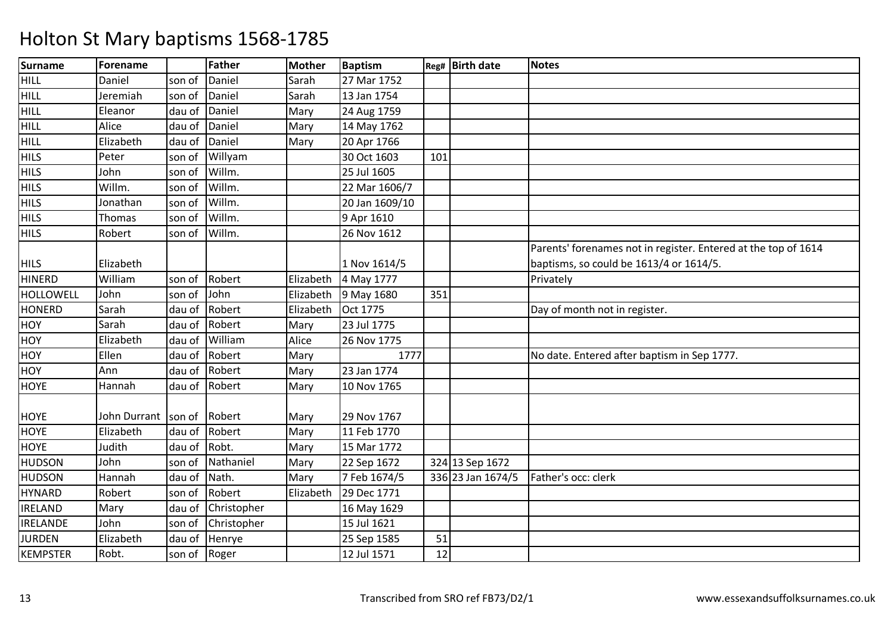| <b>Surname</b>   | Forename            |        | <b>Father</b> | <b>Mother</b> | <b>Baptism</b> |     | Reg# Birth date   | <b>Notes</b>                                                   |
|------------------|---------------------|--------|---------------|---------------|----------------|-----|-------------------|----------------------------------------------------------------|
| HILL             | Daniel              | son of | Daniel        | Sarah         | 27 Mar 1752    |     |                   |                                                                |
| HILL             | Jeremiah            | son of | Daniel        | Sarah         | 13 Jan 1754    |     |                   |                                                                |
| <b>HILL</b>      | Eleanor             | dau of | Daniel        | Mary          | 24 Aug 1759    |     |                   |                                                                |
| HILL             | Alice               | dau of | Daniel        | Mary          | 14 May 1762    |     |                   |                                                                |
| HILL             | Elizabeth           | dau of | Daniel        | Mary          | 20 Apr 1766    |     |                   |                                                                |
| <b>HILS</b>      | Peter               | son of | Willyam       |               | 30 Oct 1603    | 101 |                   |                                                                |
| <b>HILS</b>      | John                | son of | Willm.        |               | 25 Jul 1605    |     |                   |                                                                |
| <b>HILS</b>      | Willm.              | son of | Willm.        |               | 22 Mar 1606/7  |     |                   |                                                                |
| <b>HILS</b>      | Jonathan            | son of | Willm.        |               | 20 Jan 1609/10 |     |                   |                                                                |
| <b>HILS</b>      | Thomas              | son of | Willm.        |               | 9 Apr 1610     |     |                   |                                                                |
| <b>HILS</b>      | Robert              | son of | Willm.        |               | 26 Nov 1612    |     |                   |                                                                |
|                  |                     |        |               |               |                |     |                   | Parents' forenames not in register. Entered at the top of 1614 |
| <b>HILS</b>      | Elizabeth           |        |               |               | 1 Nov 1614/5   |     |                   | baptisms, so could be 1613/4 or 1614/5.                        |
| <b>HINERD</b>    | William             | son of | Robert        | Elizabeth     | 4 May 1777     |     |                   | Privately                                                      |
| <b>HOLLOWELL</b> | John                | son of | John          | Elizabeth     | 9 May 1680     | 351 |                   |                                                                |
| <b>HONERD</b>    | Sarah               | dau of | Robert        | Elizabeth     | Oct 1775       |     |                   | Day of month not in register.                                  |
| <b>HOY</b>       | Sarah               | dau of | Robert        | Mary          | 23 Jul 1775    |     |                   |                                                                |
| <b>HOY</b>       | Elizabeth           | dau of | William       | Alice         | 26 Nov 1775    |     |                   |                                                                |
| <b>HOY</b>       | Ellen               | dau of | Robert        | Mary          | 1777           |     |                   | No date. Entered after baptism in Sep 1777.                    |
| <b>HOY</b>       | Ann                 | dau of | Robert        | Mary          | 23 Jan 1774    |     |                   |                                                                |
| <b>HOYE</b>      | Hannah              | dau of | Robert        | Mary          | 10 Nov 1765    |     |                   |                                                                |
|                  |                     |        |               |               |                |     |                   |                                                                |
| <b>HOYE</b>      | John Durrant son of |        | Robert        | Mary          | 29 Nov 1767    |     |                   |                                                                |
| <b>HOYE</b>      | Elizabeth           | dau of | Robert        | Mary          | 11 Feb 1770    |     |                   |                                                                |
| <b>HOYE</b>      | Judith              | dau of | Robt.         | Mary          | 15 Mar 1772    |     |                   |                                                                |
| <b>HUDSON</b>    | John                | son of | Nathaniel     | Mary          | 22 Sep 1672    |     | 324 13 Sep 1672   |                                                                |
| <b>HUDSON</b>    | Hannah              | dau of | Nath.         | Mary          | 7 Feb 1674/5   |     | 336 23 Jan 1674/5 | Father's occ: clerk                                            |
| <b>HYNARD</b>    | Robert              | son of | Robert        | Elizabeth     | 29 Dec 1771    |     |                   |                                                                |
| <b>IRELAND</b>   | Mary                | dau of | Christopher   |               | 16 May 1629    |     |                   |                                                                |
| <b>IRELANDE</b>  | John                | son of | Christopher   |               | 15 Jul 1621    |     |                   |                                                                |
| <b>JURDEN</b>    | Elizabeth           | dau of | Henrye        |               | 25 Sep 1585    | 51  |                   |                                                                |
| <b>KEMPSTER</b>  | Robt.               | son of | Roger         |               | 12 Jul 1571    | 12  |                   |                                                                |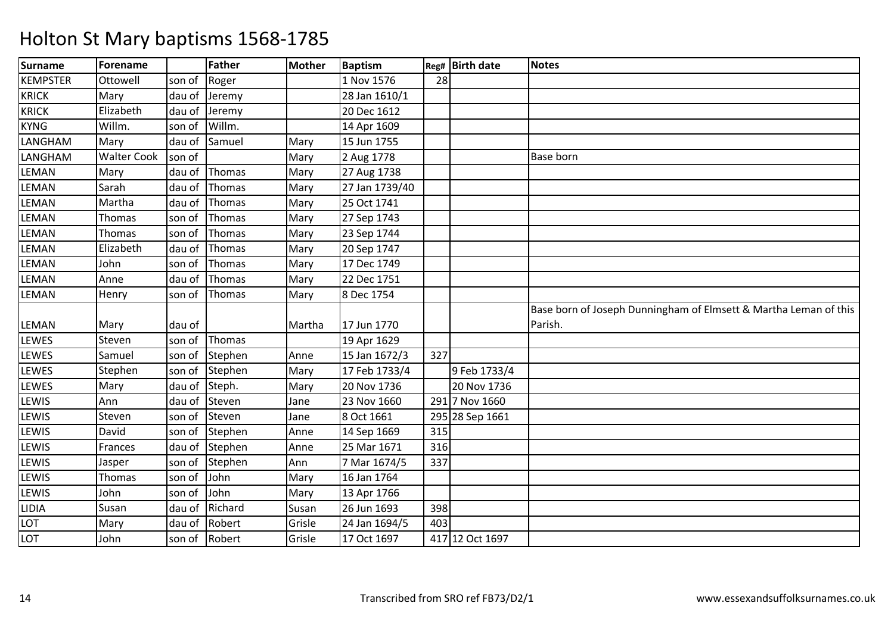| <b>Surname</b>  | Forename           |        | Father        | <b>Mother</b> | <b>Baptism</b> |     | Reg# Birth date | <b>Notes</b>                                                     |
|-----------------|--------------------|--------|---------------|---------------|----------------|-----|-----------------|------------------------------------------------------------------|
| <b>KEMPSTER</b> | Ottowell           | son of | Roger         |               | 1 Nov 1576     | 28  |                 |                                                                  |
| <b>KRICK</b>    | Mary               | dau of | Jeremy        |               | 28 Jan 1610/1  |     |                 |                                                                  |
| <b>KRICK</b>    | Elizabeth          | dau of | Jeremy        |               | 20 Dec 1612    |     |                 |                                                                  |
| <b>KYNG</b>     | Willm.             | son of | Willm.        |               | 14 Apr 1609    |     |                 |                                                                  |
| LANGHAM         | Mary               | dau of | Samuel        | Mary          | 15 Jun 1755    |     |                 |                                                                  |
| LANGHAM         | <b>Walter Cook</b> | son of |               | Mary          | 2 Aug 1778     |     |                 | <b>Base born</b>                                                 |
| LEMAN           | Mary               | dau of | Thomas        | Mary          | 27 Aug 1738    |     |                 |                                                                  |
| LEMAN           | Sarah              | dau of | Thomas        | Mary          | 27 Jan 1739/40 |     |                 |                                                                  |
| LEMAN           | Martha             | dau of | Thomas        | Mary          | 25 Oct 1741    |     |                 |                                                                  |
| LEMAN           | Thomas             | son of | Thomas        | Mary          | 27 Sep 1743    |     |                 |                                                                  |
| LEMAN           | Thomas             | son of | Thomas        | Mary          | 23 Sep 1744    |     |                 |                                                                  |
| LEMAN           | Elizabeth          | dau of | Thomas        | Mary          | 20 Sep 1747    |     |                 |                                                                  |
| LEMAN           | John               | son of | <b>Thomas</b> | Mary          | 17 Dec 1749    |     |                 |                                                                  |
| LEMAN           | Anne               | dau of | Thomas        | Mary          | 22 Dec 1751    |     |                 |                                                                  |
| LEMAN           | Henry              | son of | Thomas        | Mary          | 8 Dec 1754     |     |                 |                                                                  |
|                 |                    |        |               |               |                |     |                 | Base born of Joseph Dunningham of Elmsett & Martha Leman of this |
| LEMAN           | Mary               | dau of |               | Martha        | 17 Jun 1770    |     |                 | Parish.                                                          |
| LEWES           | Steven             | son of | Thomas        |               | 19 Apr 1629    |     |                 |                                                                  |
| LEWES           | Samuel             | son of | Stephen       | Anne          | 15 Jan 1672/3  | 327 |                 |                                                                  |
| LEWES           | Stephen            | son of | Stephen       | Mary          | 17 Feb 1733/4  |     | 9 Feb 1733/4    |                                                                  |
| LEWES           | Mary               | dau of | Steph.        | Mary          | 20 Nov 1736    |     | 20 Nov 1736     |                                                                  |
| LEWIS           | Ann                | dau of | Steven        | Jane          | 23 Nov 1660    |     | 291 7 Nov 1660  |                                                                  |
| LEWIS           | Steven             | son of | Steven        | Jane          | 8 Oct 1661     |     | 295 28 Sep 1661 |                                                                  |
| LEWIS           | David              | son of | Stephen       | Anne          | 14 Sep 1669    | 315 |                 |                                                                  |
| LEWIS           | Frances            | dau of | Stephen       | Anne          | 25 Mar 1671    | 316 |                 |                                                                  |
| LEWIS           | Jasper             | son of | Stephen       | Ann           | 7 Mar 1674/5   | 337 |                 |                                                                  |
| LEWIS           | Thomas             | son of | John          | Mary          | 16 Jan 1764    |     |                 |                                                                  |
| LEWIS           | John               | son of | John          | Mary          | 13 Apr 1766    |     |                 |                                                                  |
| LIDIA           | Susan              | dau of | Richard       | Susan         | 26 Jun 1693    | 398 |                 |                                                                  |
| LOT             | Mary               | dau of | Robert        | Grisle        | 24 Jan 1694/5  | 403 |                 |                                                                  |
| LOT             | John               | son of | Robert        | Grisle        | 17 Oct 1697    |     | 417 12 Oct 1697 |                                                                  |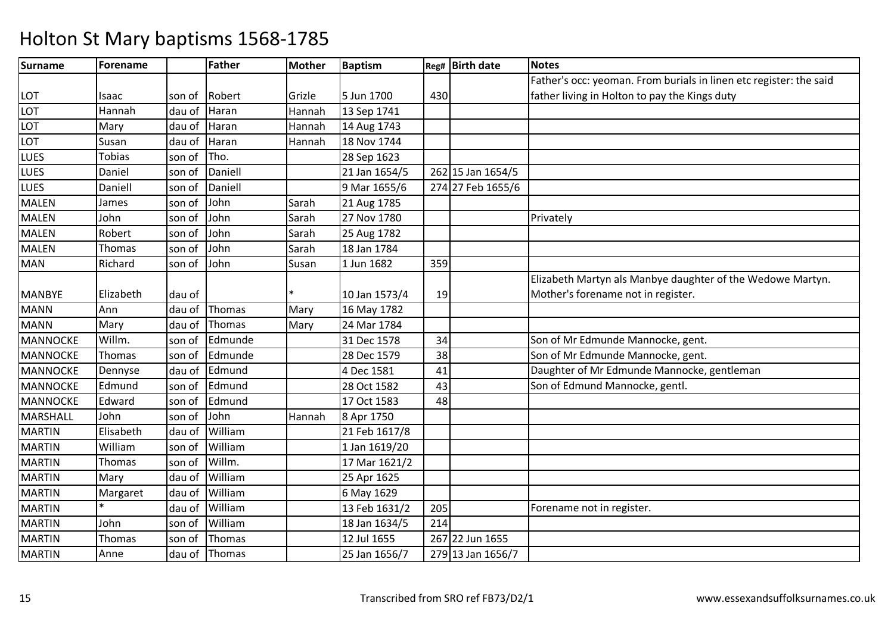| <b>Surname</b>  | Forename      |        | Father  | <b>Mother</b> | <b>Baptism</b> |     | Reg# Birth date   | <b>Notes</b>                                                       |
|-----------------|---------------|--------|---------|---------------|----------------|-----|-------------------|--------------------------------------------------------------------|
|                 |               |        |         |               |                |     |                   | Father's occ: yeoman. From burials in linen etc register: the said |
| LOT             | Isaac         | son of | Robert  | Grizle        | 5 Jun 1700     | 430 |                   | father living in Holton to pay the Kings duty                      |
| LOT             | Hannah        | dau of | Haran   | Hannah        | 13 Sep 1741    |     |                   |                                                                    |
| LOT             | Mary          | dau of | Haran   | Hannah        | 14 Aug 1743    |     |                   |                                                                    |
| LOT             | Susan         | dau of | Haran   | Hannah        | 18 Nov 1744    |     |                   |                                                                    |
| LUES            | <b>Tobias</b> | son of | Tho.    |               | 28 Sep 1623    |     |                   |                                                                    |
| LUES            | Daniel        | son of | Daniell |               | 21 Jan 1654/5  |     | 262 15 Jan 1654/5 |                                                                    |
| <b>LUES</b>     | Daniell       | son of | Daniell |               | 9 Mar 1655/6   |     | 274 27 Feb 1655/6 |                                                                    |
| <b>MALEN</b>    | James         | son of | John    | Sarah         | 21 Aug 1785    |     |                   |                                                                    |
| <b>MALEN</b>    | John          | son of | John    | Sarah         | 27 Nov 1780    |     |                   | Privately                                                          |
| <b>MALEN</b>    | Robert        | son of | John    | Sarah         | 25 Aug 1782    |     |                   |                                                                    |
| <b>MALEN</b>    | Thomas        | son of | John    | Sarah         | 18 Jan 1784    |     |                   |                                                                    |
| <b>MAN</b>      | Richard       | son of | John    | Susan         | 1 Jun 1682     | 359 |                   |                                                                    |
|                 |               |        |         |               |                |     |                   | Elizabeth Martyn als Manbye daughter of the Wedowe Martyn.         |
| <b>MANBYE</b>   | Elizabeth     | dau of |         |               | 10 Jan 1573/4  | 19  |                   | Mother's forename not in register.                                 |
| <b>MANN</b>     | Ann           | dau of | Thomas  | Mary          | 16 May 1782    |     |                   |                                                                    |
| <b>MANN</b>     | Mary          | dau of | Thomas  | Mary          | 24 Mar 1784    |     |                   |                                                                    |
| <b>MANNOCKE</b> | Willm.        | son of | Edmunde |               | 31 Dec 1578    | 34  |                   | Son of Mr Edmunde Mannocke, gent.                                  |
| <b>MANNOCKE</b> | Thomas        | son of | Edmunde |               | 28 Dec 1579    | 38  |                   | Son of Mr Edmunde Mannocke, gent.                                  |
| <b>MANNOCKE</b> | Dennyse       | dau of | Edmund  |               | 4 Dec 1581     | 41  |                   | Daughter of Mr Edmunde Mannocke, gentleman                         |
| <b>MANNOCKE</b> | Edmund        | son of | Edmund  |               | 28 Oct 1582    | 43  |                   | Son of Edmund Mannocke, gentl.                                     |
| <b>MANNOCKE</b> | Edward        | son of | Edmund  |               | 17 Oct 1583    | 48  |                   |                                                                    |
| <b>MARSHALL</b> | John          | son of | John    | Hannah        | 8 Apr 1750     |     |                   |                                                                    |
| <b>MARTIN</b>   | Elisabeth     | dau of | William |               | 21 Feb 1617/8  |     |                   |                                                                    |
| <b>MARTIN</b>   | William       | son of | William |               | 1 Jan 1619/20  |     |                   |                                                                    |
| <b>MARTIN</b>   | Thomas        | son of | Willm.  |               | 17 Mar 1621/2  |     |                   |                                                                    |
| <b>MARTIN</b>   | Mary          | dau of | William |               | 25 Apr 1625    |     |                   |                                                                    |
| <b>MARTIN</b>   | Margaret      | dau of | William |               | 6 May 1629     |     |                   |                                                                    |
| <b>MARTIN</b>   | $\ast$        | dau of | William |               | 13 Feb 1631/2  | 205 |                   | Forename not in register.                                          |
| <b>MARTIN</b>   | John          | son of | William |               | 18 Jan 1634/5  | 214 |                   |                                                                    |
| <b>MARTIN</b>   | Thomas        | son of | Thomas  |               | 12 Jul 1655    |     | 267 22 Jun 1655   |                                                                    |
| <b>MARTIN</b>   | Anne          | dau of | Thomas  |               | 25 Jan 1656/7  |     | 279 13 Jan 1656/7 |                                                                    |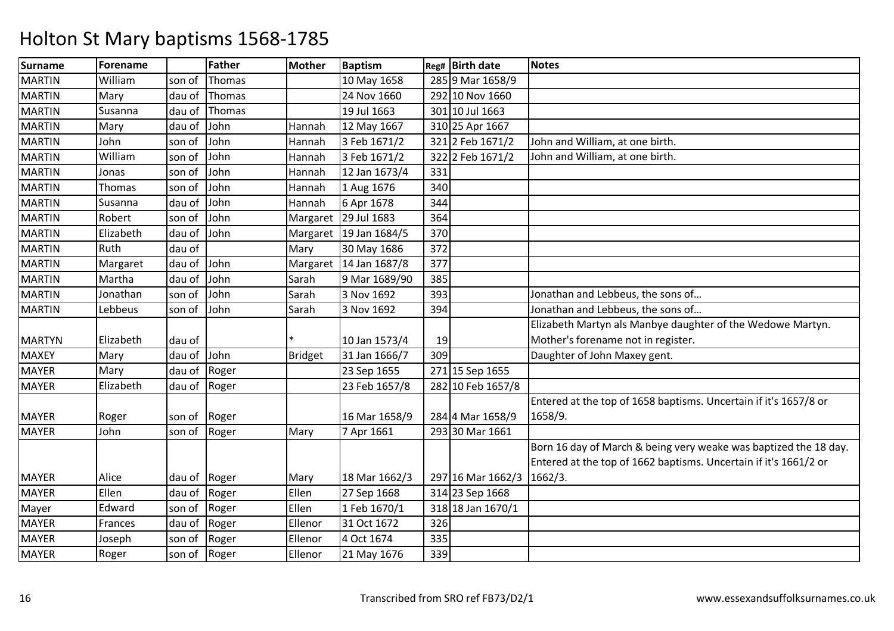| <b>Surname</b> | Forename  |        | <b>Father</b> | <b>Mother</b>  | <b>Baptism</b> |     | Reg# Birth date   | <b>Notes</b>                                                     |
|----------------|-----------|--------|---------------|----------------|----------------|-----|-------------------|------------------------------------------------------------------|
| <b>MARTIN</b>  | William   | son of | Thomas        |                | 10 May 1658    |     | 285 9 Mar 1658/9  |                                                                  |
| <b>MARTIN</b>  | Mary      | dau of | Thomas        |                | 24 Nov 1660    |     | 292 10 Nov 1660   |                                                                  |
| <b>MARTIN</b>  | Susanna   | dau of | Thomas        |                | 19 Jul 1663    |     | 301 10 Jul 1663   |                                                                  |
| <b>MARTIN</b>  | Mary      | dau of | John          | Hannah         | 12 May 1667    |     | 310 25 Apr 1667   |                                                                  |
| <b>MARTIN</b>  | John      | son of | John          | Hannah         | 3 Feb 1671/2   |     | 321 2 Feb 1671/2  | John and William, at one birth.                                  |
| <b>MARTIN</b>  | William   | son of | John          | Hannah         | 3 Feb 1671/2   |     | 322 2 Feb 1671/2  | John and William, at one birth.                                  |
| <b>MARTIN</b>  | Jonas     | son of | John          | Hannah         | 12 Jan 1673/4  | 331 |                   |                                                                  |
| <b>MARTIN</b>  | Thomas    | son of | John          | Hannah         | 1 Aug 1676     | 340 |                   |                                                                  |
| <b>MARTIN</b>  | Susanna   | dau of | John          | Hannah         | 6 Apr 1678     | 344 |                   |                                                                  |
| <b>MARTIN</b>  | Robert    | son of | John          | Margaret       | 29 Jul 1683    | 364 |                   |                                                                  |
| <b>MARTIN</b>  | Elizabeth | dau of | John          | Margaret       | 19 Jan 1684/5  | 370 |                   |                                                                  |
| <b>MARTIN</b>  | Ruth      | dau of |               | Mary           | 30 May 1686    | 372 |                   |                                                                  |
| <b>MARTIN</b>  | Margaret  | dau of | John          | Margaret       | 14 Jan 1687/8  | 377 |                   |                                                                  |
| <b>MARTIN</b>  | Martha    | dau of | John          | Sarah          | 9 Mar 1689/90  | 385 |                   |                                                                  |
| <b>MARTIN</b>  | Jonathan  | son of | John          | Sarah          | 3 Nov 1692     | 393 |                   | Jonathan and Lebbeus, the sons of                                |
| <b>MARTIN</b>  | Lebbeus   | son of | John          | Sarah          | 3 Nov 1692     | 394 |                   | Jonathan and Lebbeus, the sons of                                |
|                |           |        |               |                |                |     |                   | Elizabeth Martyn als Manbye daughter of the Wedowe Martyn.       |
| <b>MARTYN</b>  | Elizabeth | dau of |               |                | 10 Jan 1573/4  | 19  |                   | Mother's forename not in register.                               |
| <b>MAXEY</b>   | Mary      | dau of | John          | <b>Bridget</b> | 31 Jan 1666/7  | 309 |                   | Daughter of John Maxey gent.                                     |
| <b>MAYER</b>   | Mary      | dau of | Roger         |                | 23 Sep 1655    |     | 271 15 Sep 1655   |                                                                  |
| <b>MAYER</b>   | Elizabeth | dau of | Roger         |                | 23 Feb 1657/8  |     | 282 10 Feb 1657/8 |                                                                  |
|                |           |        |               |                |                |     |                   | Entered at the top of 1658 baptisms. Uncertain if it's 1657/8 or |
| <b>MAYER</b>   | Roger     | son of | Roger         |                | 16 Mar 1658/9  |     | 284 4 Mar 1658/9  | 1658/9.                                                          |
| <b>MAYER</b>   | John      | son of | Roger         | Mary           | 7 Apr 1661     |     | 293 30 Mar 1661   |                                                                  |
|                |           |        |               |                |                |     |                   | Born 16 day of March & being very weake was baptized the 18 day. |
|                |           |        |               |                |                |     |                   | Entered at the top of 1662 baptisms. Uncertain if it's 1661/2 or |
| <b>MAYER</b>   | Alice     | dau of | Roger         | Mary           | 18 Mar 1662/3  |     | 297 16 Mar 1662/3 | 1662/3.                                                          |
| <b>MAYER</b>   | Ellen     | dau of | Roger         | Ellen          | 27 Sep 1668    |     | 314 23 Sep 1668   |                                                                  |
| Mayer          | Edward    | son of | Roger         | Ellen          | 1 Feb 1670/1   |     | 318 18 Jan 1670/1 |                                                                  |
| <b>MAYER</b>   | Frances   | dau of | Roger         | Ellenor        | 31 Oct 1672    | 326 |                   |                                                                  |
| <b>MAYER</b>   | Joseph    | son of | Roger         | Ellenor        | 4 Oct 1674     | 335 |                   |                                                                  |
| <b>MAYER</b>   | Roger     | son of | Roger         | Ellenor        | 21 May 1676    | 339 |                   |                                                                  |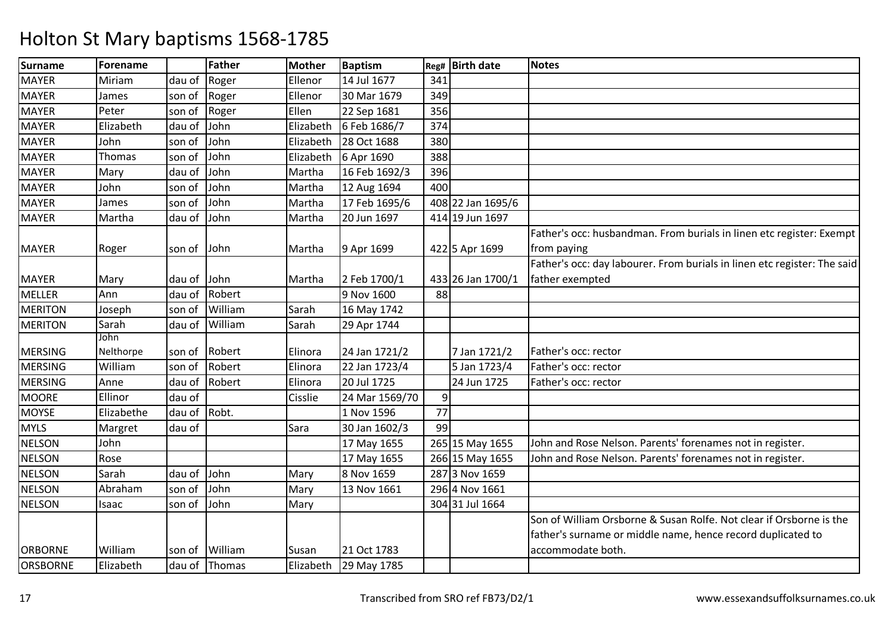| Surname         | Forename    |        | Father  | <b>Mother</b> | <b>Baptism</b> | Reg# | <b>Birth date</b> | <b>Notes</b>                                                             |
|-----------------|-------------|--------|---------|---------------|----------------|------|-------------------|--------------------------------------------------------------------------|
| <b>MAYER</b>    | Miriam      | dau of | Roger   | Ellenor       | 14 Jul 1677    | 341  |                   |                                                                          |
| <b>MAYER</b>    | James       | son of | Roger   | Ellenor       | 30 Mar 1679    | 349  |                   |                                                                          |
| <b>MAYER</b>    | Peter       | son of | Roger   | Ellen         | 22 Sep 1681    | 356  |                   |                                                                          |
| <b>MAYER</b>    | Elizabeth   | dau of | John    | Elizabeth     | 6 Feb 1686/7   | 374  |                   |                                                                          |
| <b>MAYER</b>    | John        | son of | John    | Elizabeth     | 28 Oct 1688    | 380  |                   |                                                                          |
| <b>MAYER</b>    | Thomas      | son of | John    | Elizabeth     | 6 Apr 1690     | 388  |                   |                                                                          |
| <b>MAYER</b>    | Mary        | dau of | John    | Martha        | 16 Feb 1692/3  | 396  |                   |                                                                          |
| <b>MAYER</b>    | John        | son of | John    | Martha        | 12 Aug 1694    | 400  |                   |                                                                          |
| <b>MAYER</b>    | James       | son of | John    | Martha        | 17 Feb 1695/6  |      | 408 22 Jan 1695/6 |                                                                          |
| <b>MAYER</b>    | Martha      | dau of | John    | Martha        | 20 Jun 1697    |      | 414 19 Jun 1697   |                                                                          |
|                 |             |        |         |               |                |      |                   | Father's occ: husbandman. From burials in linen etc register: Exempt     |
| <b>MAYER</b>    | Roger       | son of | John    | Martha        | 9 Apr 1699     |      | 422 5 Apr 1699    | from paying                                                              |
|                 |             |        |         |               |                |      |                   | Father's occ: day labourer. From burials in linen etc register: The said |
| <b>MAYER</b>    | Mary        | dau of | John    | Martha        | 2 Feb 1700/1   |      | 433 26 Jan 1700/1 | father exempted                                                          |
| <b>MELLER</b>   | Ann         | dau of | Robert  |               | 9 Nov 1600     | 88   |                   |                                                                          |
| <b>MERITON</b>  | Joseph      | son of | William | Sarah         | 16 May 1742    |      |                   |                                                                          |
| <b>MERITON</b>  | Sarah       | dau of | William | Sarah         | 29 Apr 1744    |      |                   |                                                                          |
|                 | <b>John</b> |        |         |               |                |      |                   |                                                                          |
| <b>MERSING</b>  | Nelthorpe   | son of | Robert  | Elinora       | 24 Jan 1721/2  |      | 7 Jan 1721/2      | Father's occ: rector                                                     |
| <b>MERSING</b>  | William     | son of | Robert  | Elinora       | 22 Jan 1723/4  |      | 5 Jan 1723/4      | Father's occ: rector                                                     |
| <b>MERSING</b>  | Anne        | dau of | Robert  | Elinora       | 20 Jul 1725    |      | 24 Jun 1725       | Father's occ: rector                                                     |
| <b>MOORE</b>    | Ellinor     | dau of |         | Cisslie       | 24 Mar 1569/70 | 9    |                   |                                                                          |
| <b>MOYSE</b>    | Elizabethe  | dau of | Robt.   |               | 1 Nov 1596     | 77   |                   |                                                                          |
| <b>MYLS</b>     | Margret     | dau of |         | Sara          | 30 Jan 1602/3  | 99   |                   |                                                                          |
| <b>NELSON</b>   | John        |        |         |               | 17 May 1655    |      | 265 15 May 1655   | John and Rose Nelson. Parents' forenames not in register.                |
| <b>NELSON</b>   | Rose        |        |         |               | 17 May 1655    |      | 266 15 May 1655   | John and Rose Nelson. Parents' forenames not in register.                |
| <b>NELSON</b>   | Sarah       | dau of | John    | Mary          | 8 Nov 1659     |      | 287 3 Nov 1659    |                                                                          |
| <b>NELSON</b>   | Abraham     | son of | John    | Mary          | 13 Nov 1661    |      | 296 4 Nov 1661    |                                                                          |
| <b>NELSON</b>   | Isaac       | son of | John    | Mary          |                |      | 304 31 Jul 1664   |                                                                          |
|                 |             |        |         |               |                |      |                   | Son of William Orsborne & Susan Rolfe. Not clear if Orsborne is the      |
|                 |             |        |         |               |                |      |                   | father's surname or middle name, hence record duplicated to              |
| <b>ORBORNE</b>  | William     | son of | William | Susan         | 21 Oct 1783    |      |                   | accommodate both.                                                        |
| <b>ORSBORNE</b> | Elizabeth   | dau of | Thomas  | Elizabeth     | 29 May 1785    |      |                   |                                                                          |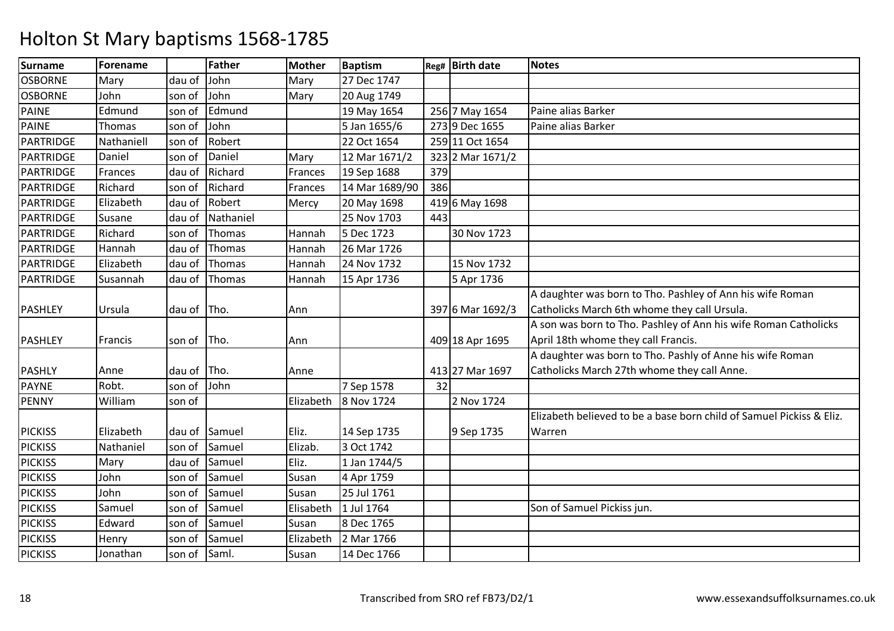| <b>Surname</b>   | Forename      |               | <b>Father</b> | <b>Mother</b> | <b>Baptism</b> |     | $Reg#$ Birth date | <b>Notes</b>                                                         |
|------------------|---------------|---------------|---------------|---------------|----------------|-----|-------------------|----------------------------------------------------------------------|
| <b>OSBORNE</b>   | Mary          | dau of        | John          | Mary          | 27 Dec 1747    |     |                   |                                                                      |
| <b>OSBORNE</b>   | John          | son of        | John          | Mary          | 20 Aug 1749    |     |                   |                                                                      |
| <b>PAINE</b>     | Edmund        | son of        | Edmund        |               | 19 May 1654    |     | 256 7 May 1654    | Paine alias Barker                                                   |
| <b>PAINE</b>     | <b>Thomas</b> | son of        | John          |               | 5 Jan 1655/6   |     | 273 9 Dec 1655    | Paine alias Barker                                                   |
| PARTRIDGE        | Nathaniell    | son of        | Robert        |               | 22 Oct 1654    |     | 259 11 Oct 1654   |                                                                      |
| PARTRIDGE        | Daniel        | son of        | Daniel        | Mary          | 12 Mar 1671/2  |     | 323 2 Mar 1671/2  |                                                                      |
| PARTRIDGE        | Frances       | dau of        | Richard       | Frances       | 19 Sep 1688    | 379 |                   |                                                                      |
| <b>PARTRIDGE</b> | Richard       | son of        | Richard       | Frances       | 14 Mar 1689/90 | 386 |                   |                                                                      |
| <b>PARTRIDGE</b> | Elizabeth     | dau of        | Robert        | Mercy         | 20 May 1698    |     | 419 6 May 1698    |                                                                      |
| PARTRIDGE        | Susane        | dau of        | Nathaniel     |               | 25 Nov 1703    | 443 |                   |                                                                      |
| PARTRIDGE        | Richard       | son of        | Thomas        | Hannah        | 5 Dec 1723     |     | 30 Nov 1723       |                                                                      |
| PARTRIDGE        | Hannah        | dau of        | Thomas        | Hannah        | 26 Mar 1726    |     |                   |                                                                      |
| PARTRIDGE        | Elizabeth     | dau of        | Thomas        | Hannah        | 24 Nov 1732    |     | 15 Nov 1732       |                                                                      |
| PARTRIDGE        | Susannah      | dau of        | Thomas        | Hannah        | 15 Apr 1736    |     | 5 Apr 1736        |                                                                      |
|                  |               |               |               |               |                |     |                   | A daughter was born to Tho. Pashley of Ann his wife Roman            |
| <b>PASHLEY</b>   | Ursula        | dau of Tho.   |               | Ann           |                |     | 397 6 Mar 1692/3  | Catholicks March 6th whome they call Ursula.                         |
|                  |               |               |               |               |                |     |                   | A son was born to Tho. Pashley of Ann his wife Roman Catholicks      |
| <b>PASHLEY</b>   | Francis       | son of        | Tho.          | Ann           |                |     | 409 18 Apr 1695   | April 18th whome they call Francis.                                  |
|                  |               |               |               |               |                |     |                   | A daughter was born to Tho. Pashly of Anne his wife Roman            |
| <b>PASHLY</b>    | Anne          | dau of        | Tho.          | Anne          |                |     | 413 27 Mar 1697   | Catholicks March 27th whome they call Anne.                          |
| <b>PAYNE</b>     | Robt.         | son of        | John          |               | 7 Sep 1578     | 32  |                   |                                                                      |
| <b>PENNY</b>     | William       | son of        |               | Elizabeth     | 8 Nov 1724     |     | 2 Nov 1724        |                                                                      |
|                  |               |               |               |               |                |     |                   | Elizabeth believed to be a base born child of Samuel Pickiss & Eliz. |
| <b>PICKISS</b>   | Elizabeth     | dau of Samuel |               | Eliz.         | 14 Sep 1735    |     | 9 Sep 1735        | Warren                                                               |
| <b>PICKISS</b>   | Nathaniel     | son of        | Samuel        | Elizab.       | 3 Oct 1742     |     |                   |                                                                      |
| <b>PICKISS</b>   | Mary          | dau of        | Samuel        | Eliz.         | 1 Jan 1744/5   |     |                   |                                                                      |
| <b>PICKISS</b>   | John          | son of        | Samuel        | Susan         | 4 Apr 1759     |     |                   |                                                                      |
| <b>PICKISS</b>   | John          | son of        | Samuel        | Susan         | 25 Jul 1761    |     |                   |                                                                      |
| <b>PICKISS</b>   | Samuel        | son of        | Samuel        | Elisabeth     | 1 Jul 1764     |     |                   | Son of Samuel Pickiss jun.                                           |
| <b>PICKISS</b>   | Edward        | son of        | Samuel        | Susan         | 8 Dec 1765     |     |                   |                                                                      |
| <b>PICKISS</b>   | Henry         | son of        | Samuel        | Elizabeth     | 2 Mar 1766     |     |                   |                                                                      |
| <b>PICKISS</b>   | Jonathan      | son of Saml.  |               | Susan         | 14 Dec 1766    |     |                   |                                                                      |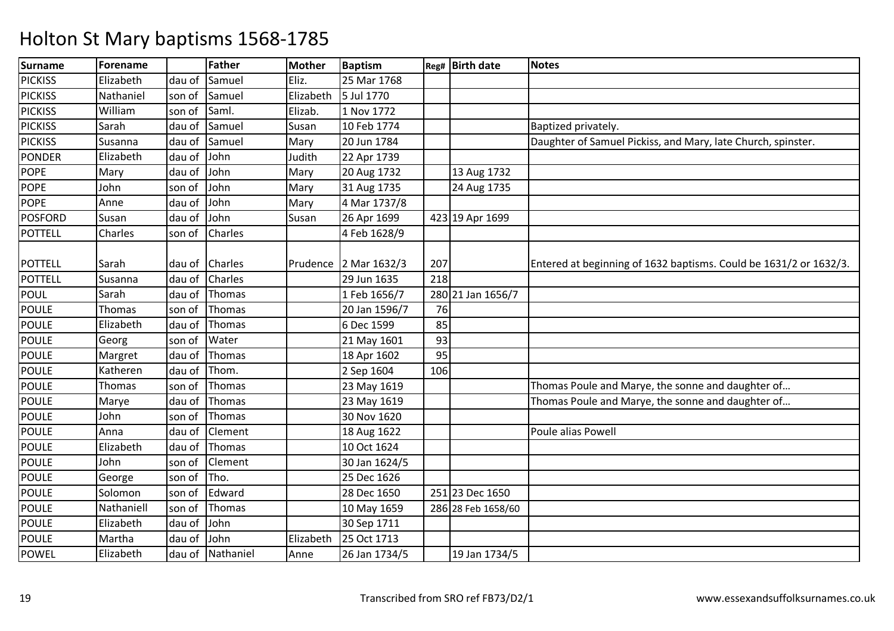| <b>Surname</b> | Forename   |        | Father        | <b>Mother</b> | <b>Baptism</b> |     | Reg# Birth date    | <b>Notes</b>                                                      |
|----------------|------------|--------|---------------|---------------|----------------|-----|--------------------|-------------------------------------------------------------------|
| <b>PICKISS</b> | Elizabeth  | dau of | Samuel        | Eliz.         | 25 Mar 1768    |     |                    |                                                                   |
| <b>PICKISS</b> | Nathaniel  | son of | Samuel        | Elizabeth     | 5 Jul 1770     |     |                    |                                                                   |
| <b>PICKISS</b> | William    | son of | Saml.         | Elizab.       | 1 Nov 1772     |     |                    |                                                                   |
| <b>PICKISS</b> | Sarah      | dau of | Samuel        | Susan         | 10 Feb 1774    |     |                    | Baptized privately.                                               |
| <b>PICKISS</b> | Susanna    | dau of | Samuel        | Mary          | 20 Jun 1784    |     |                    | Daughter of Samuel Pickiss, and Mary, late Church, spinster.      |
| <b>PONDER</b>  | Elizabeth  | dau of | John          | Judith        | 22 Apr 1739    |     |                    |                                                                   |
| <b>POPE</b>    | Mary       | dau of | John          | Mary          | 20 Aug 1732    |     | 13 Aug 1732        |                                                                   |
| <b>POPE</b>    | John       | son of | John          | Mary          | 31 Aug 1735    |     | 24 Aug 1735        |                                                                   |
| <b>POPE</b>    | Anne       | dau of | John          | Mary          | 4 Mar 1737/8   |     |                    |                                                                   |
| <b>POSFORD</b> | Susan      | dau of | John          | Susan         | 26 Apr 1699    |     | 423 19 Apr 1699    |                                                                   |
| <b>POTTELL</b> | Charles    | son of | Charles       |               | 4 Feb 1628/9   |     |                    |                                                                   |
| <b>POTTELL</b> | Sarah      | dau of | Charles       | Prudence      | 2 Mar 1632/3   | 207 |                    | Entered at beginning of 1632 baptisms. Could be 1631/2 or 1632/3. |
| <b>POTTELL</b> | Susanna    | dau of | Charles       |               | 29 Jun 1635    | 218 |                    |                                                                   |
| <b>POUL</b>    | Sarah      | dau of | Thomas        |               | 1 Feb 1656/7   |     | 280 21 Jan 1656/7  |                                                                   |
| <b>POULE</b>   | Thomas     | son of | Thomas        |               | 20 Jan 1596/7  | 76  |                    |                                                                   |
| <b>POULE</b>   | Elizabeth  | dau of | Thomas        |               | 6 Dec 1599     | 85  |                    |                                                                   |
| POULE          | Georg      | son of | Water         |               | 21 May 1601    | 93  |                    |                                                                   |
| <b>POULE</b>   | Margret    | dau of | Thomas        |               | 18 Apr 1602    | 95  |                    |                                                                   |
| <b>POULE</b>   | Katheren   | dau of | Thom.         |               | 2 Sep 1604     | 106 |                    |                                                                   |
| <b>POULE</b>   | Thomas     | son of | Thomas        |               | 23 May 1619    |     |                    | Thomas Poule and Marye, the sonne and daughter of                 |
| POULE          | Marye      | dau of | Thomas        |               | 23 May 1619    |     |                    | Thomas Poule and Marye, the sonne and daughter of                 |
| <b>POULE</b>   | John       | son of | Thomas        |               | 30 Nov 1620    |     |                    |                                                                   |
| <b>POULE</b>   | Anna       | dau of | Clement       |               | 18 Aug 1622    |     |                    | Poule alias Powell                                                |
| <b>POULE</b>   | Elizabeth  | dau of | <b>Thomas</b> |               | 10 Oct 1624    |     |                    |                                                                   |
| <b>POULE</b>   | John       | son of | Clement       |               | 30 Jan 1624/5  |     |                    |                                                                   |
| <b>POULE</b>   | George     | son of | Tho.          |               | 25 Dec 1626    |     |                    |                                                                   |
| <b>POULE</b>   | Solomon    | son of | Edward        |               | 28 Dec 1650    |     | 251 23 Dec 1650    |                                                                   |
| <b>POULE</b>   | Nathaniell | son of | Thomas        |               | 10 May 1659    |     | 286 28 Feb 1658/60 |                                                                   |
| <b>POULE</b>   | Elizabeth  | dau of | John          |               | 30 Sep 1711    |     |                    |                                                                   |
| <b>POULE</b>   | Martha     | dau of | John          | Elizabeth     | 25 Oct 1713    |     |                    |                                                                   |
| <b>POWEL</b>   | Elizabeth  | dau of | Nathaniel     | Anne          | 26 Jan 1734/5  |     | 19 Jan 1734/5      |                                                                   |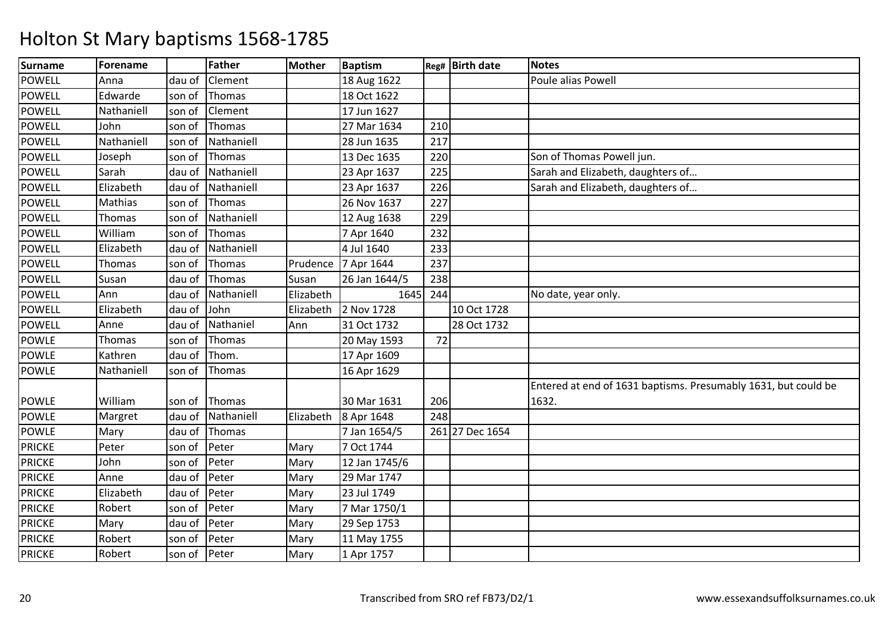| Surname       | Forename   |        | <b>Father</b> | <b>Mother</b> | <b>Baptism</b> |     | Reg# Birth date | <b>Notes</b>                                                   |
|---------------|------------|--------|---------------|---------------|----------------|-----|-----------------|----------------------------------------------------------------|
| <b>POWELL</b> | Anna       | dau of | Clement       |               | 18 Aug 1622    |     |                 | Poule alias Powell                                             |
| <b>POWELL</b> | Edwarde    | son of | Thomas        |               | 18 Oct 1622    |     |                 |                                                                |
| <b>POWELL</b> | Nathaniell | son of | Clement       |               | 17 Jun 1627    |     |                 |                                                                |
| <b>POWELL</b> | John       | son of | Thomas        |               | 27 Mar 1634    | 210 |                 |                                                                |
| <b>POWELL</b> | Nathaniell | son of | Nathaniell    |               | 28 Jun 1635    | 217 |                 |                                                                |
| <b>POWELL</b> | Joseph     | son of | Thomas        |               | 13 Dec 1635    | 220 |                 | Son of Thomas Powell jun.                                      |
| <b>POWELL</b> | Sarah      | dau of | Nathaniell    |               | 23 Apr 1637    | 225 |                 | Sarah and Elizabeth, daughters of                              |
| <b>POWELL</b> | Elizabeth  | dau of | Nathaniell    |               | 23 Apr 1637    | 226 |                 | Sarah and Elizabeth, daughters of                              |
| <b>POWELL</b> | Mathias    | son of | Thomas        |               | 26 Nov 1637    | 227 |                 |                                                                |
| <b>POWELL</b> | Thomas     | son of | Nathaniell    |               | 12 Aug 1638    | 229 |                 |                                                                |
| <b>POWELL</b> | William    | son of | Thomas        |               | 7 Apr 1640     | 232 |                 |                                                                |
| <b>POWELL</b> | Elizabeth  | dau of | Nathaniell    |               | 4 Jul 1640     | 233 |                 |                                                                |
| <b>POWELL</b> | Thomas     | son of | Thomas        | Prudence      | 7 Apr 1644     | 237 |                 |                                                                |
| <b>POWELL</b> | Susan      | dau of | Thomas        | Susan         | 26 Jan 1644/5  | 238 |                 |                                                                |
| POWELL        | Ann        | dau of | Nathaniell    | Elizabeth     | 1645           | 244 |                 | No date, year only.                                            |
| <b>POWELL</b> | Elizabeth  | dau of | John          | Elizabeth     | 2 Nov 1728     |     | 10 Oct 1728     |                                                                |
| POWELL        | Anne       | dau of | Nathaniel     | Ann           | 31 Oct 1732    |     | 28 Oct 1732     |                                                                |
| <b>POWLE</b>  | Thomas     | son of | Thomas        |               | 20 May 1593    | 72  |                 |                                                                |
| <b>POWLE</b>  | Kathren    | dau of | Thom.         |               | 17 Apr 1609    |     |                 |                                                                |
| <b>POWLE</b>  | Nathaniell | son of | Thomas        |               | 16 Apr 1629    |     |                 |                                                                |
|               |            |        |               |               |                |     |                 | Entered at end of 1631 baptisms. Presumably 1631, but could be |
| <b>POWLE</b>  | William    | son of | Thomas        |               | 30 Mar 1631    | 206 |                 | 1632.                                                          |
| <b>POWLE</b>  | Margret    | dau of | Nathaniell    | Elizabeth     | 8 Apr 1648     | 248 |                 |                                                                |
| <b>POWLE</b>  | Mary       | dau of | Thomas        |               | 7 Jan 1654/5   |     | 261 27 Dec 1654 |                                                                |
| <b>PRICKE</b> | Peter      | son of | Peter         | Mary          | 7 Oct 1744     |     |                 |                                                                |
| <b>PRICKE</b> | John       | son of | Peter         | Mary          | 12 Jan 1745/6  |     |                 |                                                                |
| <b>PRICKE</b> | Anne       | dau of | Peter         | Mary          | 29 Mar 1747    |     |                 |                                                                |
| <b>PRICKE</b> | Elizabeth  | dau of | Peter         | Mary          | 23 Jul 1749    |     |                 |                                                                |
| <b>PRICKE</b> | Robert     | son of | Peter         | Mary          | 7 Mar 1750/1   |     |                 |                                                                |
| <b>PRICKE</b> | Mary       | dau of | Peter         | Mary          | 29 Sep 1753    |     |                 |                                                                |
| <b>PRICKE</b> | Robert     | son of | Peter         | Mary          | 11 May 1755    |     |                 |                                                                |
| <b>PRICKE</b> | Robert     | son of | Peter         | Mary          | 1 Apr 1757     |     |                 |                                                                |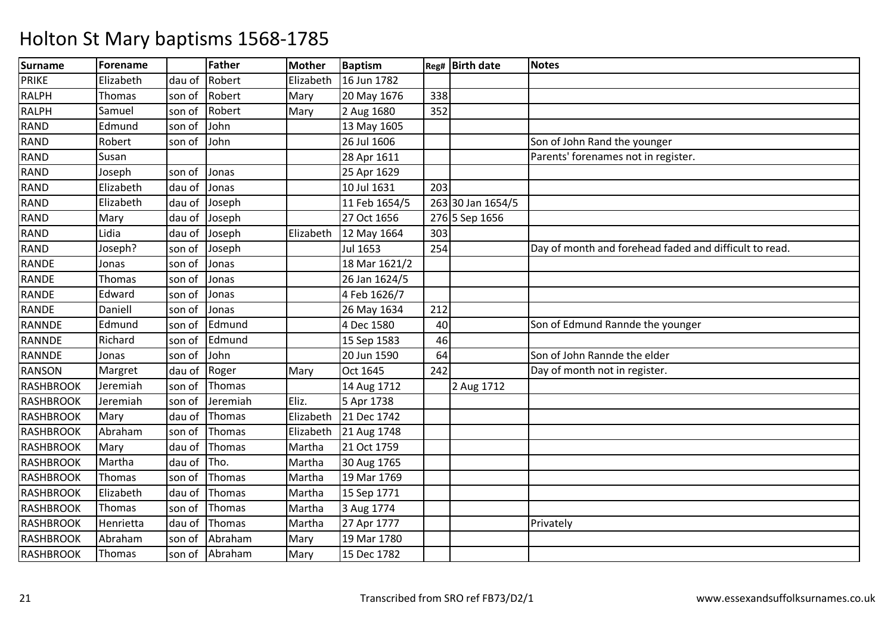| <b>Surname</b>   | <b>Forename</b> |        | <b>Father</b> | <b>Mother</b> | <b>Baptism</b> |     | Reg# Birth date   | <b>Notes</b>                                           |
|------------------|-----------------|--------|---------------|---------------|----------------|-----|-------------------|--------------------------------------------------------|
| <b>PRIKE</b>     | Elizabeth       | dau of | Robert        | Elizabeth     | 16 Jun 1782    |     |                   |                                                        |
| <b>RALPH</b>     | Thomas          | son of | Robert        | Mary          | 20 May 1676    | 338 |                   |                                                        |
| <b>RALPH</b>     | Samuel          | son of | Robert        | Mary          | 2 Aug 1680     | 352 |                   |                                                        |
| <b>RAND</b>      | Edmund          | son of | John          |               | 13 May 1605    |     |                   |                                                        |
| <b>RAND</b>      | Robert          | son of | John          |               | 26 Jul 1606    |     |                   | Son of John Rand the younger                           |
| <b>RAND</b>      | Susan           |        |               |               | 28 Apr 1611    |     |                   | Parents' forenames not in register.                    |
| <b>RAND</b>      | Joseph          | son of | Jonas         |               | 25 Apr 1629    |     |                   |                                                        |
| <b>RAND</b>      | Elizabeth       | dau of | Jonas         |               | 10 Jul 1631    | 203 |                   |                                                        |
| <b>RAND</b>      | Elizabeth       | dau of | Joseph        |               | 11 Feb 1654/5  |     | 263 30 Jan 1654/5 |                                                        |
| <b>RAND</b>      | Mary            | dau of | Joseph        |               | 27 Oct 1656    |     | 276 5 Sep 1656    |                                                        |
| <b>RAND</b>      | Lidia           | dau of | Joseph        | Elizabeth     | 12 May 1664    | 303 |                   |                                                        |
| <b>RAND</b>      | Joseph?         | son of | Joseph        |               | Jul 1653       | 254 |                   | Day of month and forehead faded and difficult to read. |
| <b>RANDE</b>     | Jonas           | son of | Jonas         |               | 18 Mar 1621/2  |     |                   |                                                        |
| RANDE            | Thomas          | son of | Jonas         |               | 26 Jan 1624/5  |     |                   |                                                        |
| RANDE            | Edward          | son of | Jonas         |               | 4 Feb 1626/7   |     |                   |                                                        |
| <b>RANDE</b>     | Daniell         | son of | Jonas         |               | 26 May 1634    | 212 |                   |                                                        |
| <b>RANNDE</b>    | Edmund          | son of | Edmund        |               | 4 Dec 1580     | 40  |                   | Son of Edmund Rannde the younger                       |
| <b>RANNDE</b>    | Richard         | son of | Edmund        |               | 15 Sep 1583    | 46  |                   |                                                        |
| RANNDE           | Jonas           | son of | John          |               | 20 Jun 1590    | 64  |                   | Son of John Rannde the elder                           |
| RANSON           | Margret         | dau of | Roger         | Mary          | Oct 1645       | 242 |                   | Day of month not in register.                          |
| <b>RASHBROOK</b> | Jeremiah        | son of | Thomas        |               | 14 Aug 1712    |     | 2 Aug 1712        |                                                        |
| <b>RASHBROOK</b> | Jeremiah        | son of | Jeremiah      | Eliz.         | 5 Apr 1738     |     |                   |                                                        |
| <b>RASHBROOK</b> | Mary            | dau of | Thomas        | Elizabeth     | 21 Dec 1742    |     |                   |                                                        |
| <b>RASHBROOK</b> | Abraham         | son of | Thomas        | Elizabeth     | 21 Aug 1748    |     |                   |                                                        |
| <b>RASHBROOK</b> | Mary            | dau of | Thomas        | Martha        | 21 Oct 1759    |     |                   |                                                        |
| <b>RASHBROOK</b> | Martha          | dau of | Tho.          | Martha        | 30 Aug 1765    |     |                   |                                                        |
| <b>RASHBROOK</b> | Thomas          | son of | Thomas        | Martha        | 19 Mar 1769    |     |                   |                                                        |
| <b>RASHBROOK</b> | Elizabeth       | dau of | Thomas        | Martha        | 15 Sep 1771    |     |                   |                                                        |
| <b>RASHBROOK</b> | Thomas          | son of | Thomas        | Martha        | 3 Aug 1774     |     |                   |                                                        |
| <b>RASHBROOK</b> | Henrietta       | dau of | Thomas        | Martha        | 27 Apr 1777    |     |                   | Privately                                              |
| <b>RASHBROOK</b> | Abraham         | son of | Abraham       | Mary          | 19 Mar 1780    |     |                   |                                                        |
| <b>RASHBROOK</b> | Thomas          | son of | Abraham       | Mary          | 15 Dec 1782    |     |                   |                                                        |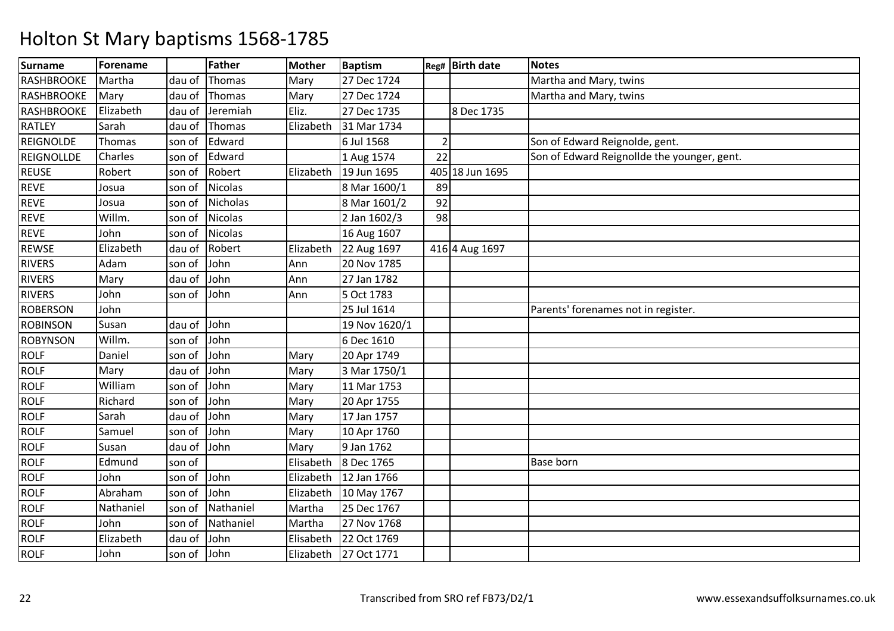| <b>Surname</b>    | <b>Forename</b> |        | <b>Father</b>   | <b>Mother</b> | <b>Baptism</b> |    | Reg# Birth date | Notes                                       |
|-------------------|-----------------|--------|-----------------|---------------|----------------|----|-----------------|---------------------------------------------|
| RASHBROOKE        | Martha          | dau of | Thomas          | Mary          | 27 Dec 1724    |    |                 | Martha and Mary, twins                      |
| <b>RASHBROOKE</b> | Mary            | dau of | Thomas          | Mary          | 27 Dec 1724    |    |                 | Martha and Mary, twins                      |
| <b>RASHBROOKE</b> | Elizabeth       | dau of | Jeremiah        | Eliz.         | 27 Dec 1735    |    | 8 Dec 1735      |                                             |
| <b>RATLEY</b>     | Sarah           | dau of | Thomas          | Elizabeth     | 31 Mar 1734    |    |                 |                                             |
| <b>REIGNOLDE</b>  | Thomas          | son of | Edward          |               | 6 Jul 1568     |    |                 | Son of Edward Reignolde, gent.              |
| <b>REIGNOLLDE</b> | Charles         | son of | Edward          |               | 1 Aug 1574     | 22 |                 | Son of Edward Reignollde the younger, gent. |
| <b>REUSE</b>      | Robert          | son of | Robert          | Elizabeth     | 19 Jun 1695    |    | 405 18 Jun 1695 |                                             |
| <b>REVE</b>       | Josua           | son of | <b>Nicolas</b>  |               | 8 Mar 1600/1   | 89 |                 |                                             |
| <b>REVE</b>       | Josua           | son of | <b>Nicholas</b> |               | 8 Mar 1601/2   | 92 |                 |                                             |
| <b>REVE</b>       | Willm.          | son of | <b>Nicolas</b>  |               | 2 Jan 1602/3   | 98 |                 |                                             |
| <b>REVE</b>       | John            | son of | <b>Nicolas</b>  |               | 16 Aug 1607    |    |                 |                                             |
| <b>REWSE</b>      | Elizabeth       | dau of | Robert          | Elizabeth     | 22 Aug 1697    |    | 416 4 Aug 1697  |                                             |
| <b>RIVERS</b>     | Adam            | son of | John            | Ann           | 20 Nov 1785    |    |                 |                                             |
| <b>RIVERS</b>     | Mary            | dau of | John            | Ann           | 27 Jan 1782    |    |                 |                                             |
| <b>RIVERS</b>     | John            | son of | John            | Ann           | 5 Oct 1783     |    |                 |                                             |
| <b>ROBERSON</b>   | John            |        |                 |               | 25 Jul 1614    |    |                 | Parents' forenames not in register.         |
| <b>ROBINSON</b>   | Susan           | dau of | John            |               | 19 Nov 1620/1  |    |                 |                                             |
| <b>ROBYNSON</b>   | Willm.          | son of | John            |               | 6 Dec 1610     |    |                 |                                             |
| <b>ROLF</b>       | Daniel          | son of | John            | Mary          | 20 Apr 1749    |    |                 |                                             |
| <b>ROLF</b>       | Mary            | dau of | John            | Mary          | 3 Mar 1750/1   |    |                 |                                             |
| <b>ROLF</b>       | William         | son of | John            | Mary          | 11 Mar 1753    |    |                 |                                             |
| <b>ROLF</b>       | Richard         | son of | John            | Mary          | 20 Apr 1755    |    |                 |                                             |
| <b>ROLF</b>       | Sarah           | dau of | John            | Mary          | 17 Jan 1757    |    |                 |                                             |
| <b>ROLF</b>       | Samuel          | son of | John            | Mary          | 10 Apr 1760    |    |                 |                                             |
| <b>ROLF</b>       | Susan           | dau of | John            | Mary          | 9 Jan 1762     |    |                 |                                             |
| <b>ROLF</b>       | Edmund          | son of |                 | Elisabeth     | 8 Dec 1765     |    |                 | <b>Base born</b>                            |
| <b>ROLF</b>       | John            | son of | John            | Elizabeth     | 12 Jan 1766    |    |                 |                                             |
| <b>ROLF</b>       | Abraham         | son of | John            | Elizabeth     | 10 May 1767    |    |                 |                                             |
| <b>ROLF</b>       | Nathaniel       | son of | Nathaniel       | Martha        | 25 Dec 1767    |    |                 |                                             |
| <b>ROLF</b>       | John            | son of | Nathaniel       | Martha        | 27 Nov 1768    |    |                 |                                             |
| <b>ROLF</b>       | Elizabeth       | dau of | John            | Elisabeth     | 22 Oct 1769    |    |                 |                                             |
| <b>ROLF</b>       | John            | son of | John            | Elizabeth     | 27 Oct 1771    |    |                 |                                             |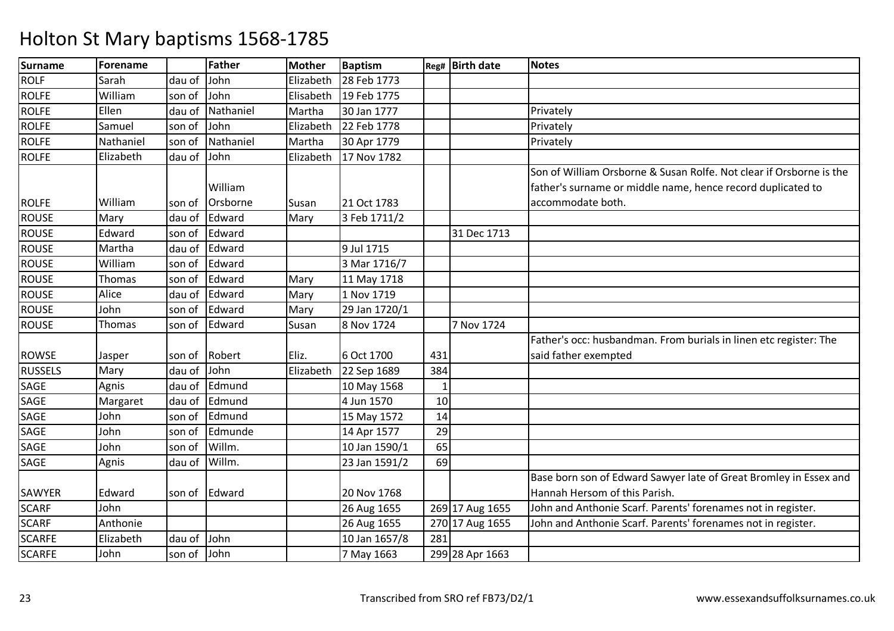| <b>Surname</b> | Forename  |        | <b>Father</b> | <b>Mother</b> | <b>Baptism</b> |                | Reg# Birth date | <b>Notes</b>                                                        |
|----------------|-----------|--------|---------------|---------------|----------------|----------------|-----------------|---------------------------------------------------------------------|
| <b>ROLF</b>    | Sarah     | dau of | John          | Elizabeth     | 28 Feb 1773    |                |                 |                                                                     |
| <b>ROLFE</b>   | William   | son of | John          | Elisabeth     | 19 Feb 1775    |                |                 |                                                                     |
| <b>ROLFE</b>   | Ellen     | dau of | Nathaniel     | Martha        | 30 Jan 1777    |                |                 | Privately                                                           |
| <b>ROLFE</b>   | Samuel    | son of | John          | Elizabeth     | 22 Feb 1778    |                |                 | Privately                                                           |
| <b>ROLFE</b>   | Nathaniel | son of | Nathaniel     | Martha        | 30 Apr 1779    |                |                 | Privately                                                           |
| <b>ROLFE</b>   | Elizabeth | dau of | John          | Elizabeth     | 17 Nov 1782    |                |                 |                                                                     |
|                |           |        |               |               |                |                |                 | Son of William Orsborne & Susan Rolfe. Not clear if Orsborne is the |
|                |           |        | William       |               |                |                |                 | father's surname or middle name, hence record duplicated to         |
| <b>ROLFE</b>   | William   | son of | Orsborne      | Susan         | 21 Oct 1783    |                |                 | accommodate both.                                                   |
| <b>ROUSE</b>   | Mary      | dau of | Edward        | Mary          | 3 Feb 1711/2   |                |                 |                                                                     |
| <b>ROUSE</b>   | Edward    | son of | Edward        |               |                |                | 31 Dec 1713     |                                                                     |
| <b>ROUSE</b>   | Martha    | dau of | Edward        |               | 9 Jul 1715     |                |                 |                                                                     |
| <b>ROUSE</b>   | William   | son of | Edward        |               | 3 Mar 1716/7   |                |                 |                                                                     |
| <b>ROUSE</b>   | Thomas    | son of | Edward        | Mary          | 11 May 1718    |                |                 |                                                                     |
| <b>ROUSE</b>   | Alice     | dau of | Edward        | Mary          | 1 Nov 1719     |                |                 |                                                                     |
| <b>ROUSE</b>   | John      | son of | Edward        | Mary          | 29 Jan 1720/1  |                |                 |                                                                     |
| <b>ROUSE</b>   | Thomas    | son of | Edward        | Susan         | 8 Nov 1724     |                | 7 Nov 1724      |                                                                     |
|                |           |        |               |               |                |                |                 | Father's occ: husbandman. From burials in linen etc register: The   |
| <b>ROWSE</b>   | Jasper    | son of | Robert        | Eliz.         | 6 Oct 1700     | 431            |                 | said father exempted                                                |
| <b>RUSSELS</b> | Mary      | dau of | John          | Elizabeth     | 22 Sep 1689    | 384            |                 |                                                                     |
| SAGE           | Agnis     | dau of | Edmund        |               | 10 May 1568    | $\overline{1}$ |                 |                                                                     |
| SAGE           | Margaret  | dau of | Edmund        |               | 4 Jun 1570     | 10             |                 |                                                                     |
| SAGE           | John      | son of | Edmund        |               | 15 May 1572    | 14             |                 |                                                                     |
| SAGE           | John      | son of | Edmunde       |               | 14 Apr 1577    | 29             |                 |                                                                     |
| SAGE           | John      | son of | Willm.        |               | 10 Jan 1590/1  | 65             |                 |                                                                     |
| <b>SAGE</b>    | Agnis     | dau of | Willm.        |               | 23 Jan 1591/2  | 69             |                 |                                                                     |
|                |           |        |               |               |                |                |                 | Base born son of Edward Sawyer late of Great Bromley in Essex and   |
| SAWYER         | Edward    | son of | Edward        |               | 20 Nov 1768    |                |                 | Hannah Hersom of this Parish.                                       |
| <b>SCARF</b>   | John      |        |               |               | 26 Aug 1655    |                | 269 17 Aug 1655 | John and Anthonie Scarf. Parents' forenames not in register.        |
| <b>SCARF</b>   | Anthonie  |        |               |               | 26 Aug 1655    |                | 270 17 Aug 1655 | John and Anthonie Scarf. Parents' forenames not in register.        |
| <b>SCARFE</b>  | Elizabeth | dau of | John          |               | 10 Jan 1657/8  | 281            |                 |                                                                     |
| <b>SCARFE</b>  | John      | son of | John          |               | 7 May 1663     |                | 299 28 Apr 1663 |                                                                     |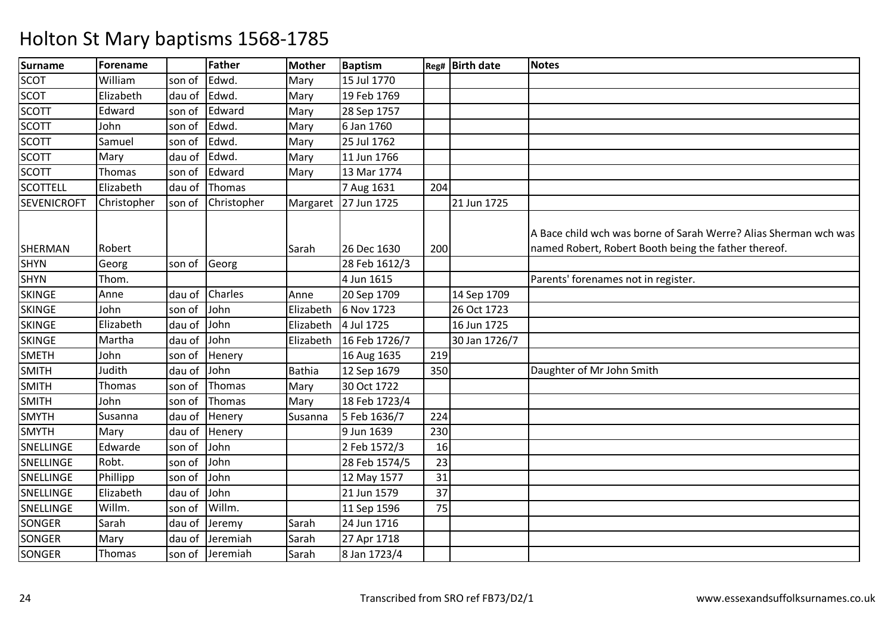| <b>Surname</b>     | Forename    |        | <b>Father</b>  | <b>Mother</b> | <b>Baptism</b> |     | Reg# Birth date | <b>Notes</b>                                                                                                             |
|--------------------|-------------|--------|----------------|---------------|----------------|-----|-----------------|--------------------------------------------------------------------------------------------------------------------------|
| <b>SCOT</b>        | William     | son of | Edwd.          | Mary          | 15 Jul 1770    |     |                 |                                                                                                                          |
| <b>SCOT</b>        | Elizabeth   | dau of | Edwd.          | Mary          | 19 Feb 1769    |     |                 |                                                                                                                          |
| <b>SCOTT</b>       | Edward      | son of | Edward         | Mary          | 28 Sep 1757    |     |                 |                                                                                                                          |
| <b>SCOTT</b>       | John        | son of | Edwd.          | Mary          | 6 Jan 1760     |     |                 |                                                                                                                          |
| <b>SCOTT</b>       | Samuel      | son of | Edwd.          | Mary          | 25 Jul 1762    |     |                 |                                                                                                                          |
| <b>SCOTT</b>       | Mary        | dau of | Edwd.          | Mary          | 11 Jun 1766    |     |                 |                                                                                                                          |
| <b>SCOTT</b>       | Thomas      | son of | Edward         | Mary          | 13 Mar 1774    |     |                 |                                                                                                                          |
| <b>SCOTTELL</b>    | Elizabeth   | dau of | Thomas         |               | 7 Aug 1631     | 204 |                 |                                                                                                                          |
| <b>SEVENICROFT</b> | Christopher | son of | Christopher    | Margaret      | 27 Jun 1725    |     | 21 Jun 1725     |                                                                                                                          |
| <b>SHERMAN</b>     | Robert      |        |                | Sarah         | 26 Dec 1630    | 200 |                 | A Bace child wch was borne of Sarah Werre? Alias Sherman wch was<br>named Robert, Robert Booth being the father thereof. |
| <b>SHYN</b>        | Georg       | son of | Georg          |               | 28 Feb 1612/3  |     |                 |                                                                                                                          |
| <b>SHYN</b>        | Thom.       |        |                |               | 4 Jun 1615     |     |                 | Parents' forenames not in register.                                                                                      |
| <b>SKINGE</b>      | Anne        | dau of | <b>Charles</b> | Anne          | 20 Sep 1709    |     | 14 Sep 1709     |                                                                                                                          |
| <b>SKINGE</b>      | John        | son of | John           | Elizabeth     | 6 Nov 1723     |     | 26 Oct 1723     |                                                                                                                          |
| <b>SKINGE</b>      | Elizabeth   | dau of | John           | Elizabeth     | 4 Jul 1725     |     | 16 Jun 1725     |                                                                                                                          |
| <b>SKINGE</b>      | Martha      | dau of | John           | Elizabeth     | 16 Feb 1726/7  |     | 30 Jan 1726/7   |                                                                                                                          |
| <b>SMETH</b>       | John        | son of | Henery         |               | 16 Aug 1635    | 219 |                 |                                                                                                                          |
| <b>SMITH</b>       | Judith      | dau of | John           | Bathia        | 12 Sep 1679    | 350 |                 | Daughter of Mr John Smith                                                                                                |
| <b>SMITH</b>       | Thomas      | son of | <b>Thomas</b>  | Mary          | 30 Oct 1722    |     |                 |                                                                                                                          |
| <b>SMITH</b>       | John        | son of | <b>Thomas</b>  | Mary          | 18 Feb 1723/4  |     |                 |                                                                                                                          |
| <b>SMYTH</b>       | Susanna     | dau of | Henery         | Susanna       | 5 Feb 1636/7   | 224 |                 |                                                                                                                          |
| <b>SMYTH</b>       | Mary        | dau of | Henery         |               | 9 Jun 1639     | 230 |                 |                                                                                                                          |
| SNELLINGE          | Edwarde     | son of | John           |               | 2 Feb 1572/3   | 16  |                 |                                                                                                                          |
| SNELLINGE          | Robt.       | son of | John           |               | 28 Feb 1574/5  | 23  |                 |                                                                                                                          |
| SNELLINGE          | Phillipp    | son of | John           |               | 12 May 1577    | 31  |                 |                                                                                                                          |
| SNELLINGE          | Elizabeth   | dau of | John           |               | 21 Jun 1579    | 37  |                 |                                                                                                                          |
| SNELLINGE          | Willm.      | son of | Willm.         |               | 11 Sep 1596    | 75  |                 |                                                                                                                          |
| <b>SONGER</b>      | Sarah       | dau of | Jeremy         | Sarah         | 24 Jun 1716    |     |                 |                                                                                                                          |
| <b>SONGER</b>      | Mary        | dau of | Jeremiah       | Sarah         | 27 Apr 1718    |     |                 |                                                                                                                          |
| <b>SONGER</b>      | Thomas      | son of | Jeremiah       | Sarah         | 8 Jan 1723/4   |     |                 |                                                                                                                          |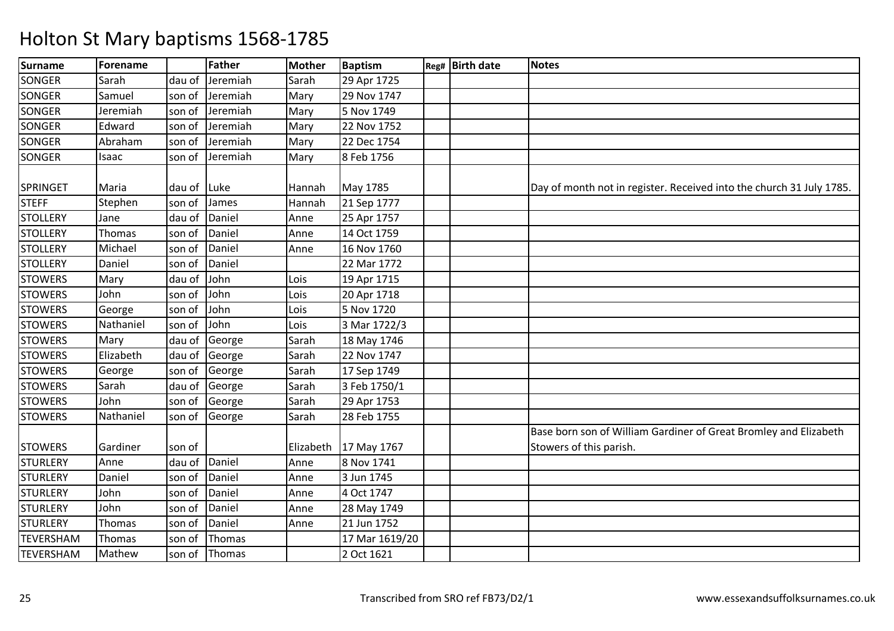| <b>Surname</b>   | Forename  |        | <b>Father</b> | <b>Mother</b> | Baptism        | Reg# Birth date | <b>Notes</b>                                                         |
|------------------|-----------|--------|---------------|---------------|----------------|-----------------|----------------------------------------------------------------------|
| <b>SONGER</b>    | Sarah     | dau of | Jeremiah      | Sarah         | 29 Apr 1725    |                 |                                                                      |
| <b>SONGER</b>    | Samuel    | son of | Jeremiah      | Mary          | 29 Nov 1747    |                 |                                                                      |
| <b>SONGER</b>    | Jeremiah  | son of | Jeremiah      | Mary          | 5 Nov 1749     |                 |                                                                      |
| <b>SONGER</b>    | Edward    | son of | Jeremiah      | Mary          | 22 Nov 1752    |                 |                                                                      |
| <b>SONGER</b>    | Abraham   | son of | Jeremiah      | Mary          | 22 Dec 1754    |                 |                                                                      |
| <b>SONGER</b>    | Isaac     | son of | Jeremiah      | Mary          | 8 Feb 1756     |                 |                                                                      |
|                  |           |        |               |               |                |                 |                                                                      |
| SPRINGET         | Maria     | dau of | Luke          | Hannah        | May 1785       |                 | Day of month not in register. Received into the church 31 July 1785. |
| <b>STEFF</b>     | Stephen   | son of | James         | Hannah        | 21 Sep 1777    |                 |                                                                      |
| <b>STOLLERY</b>  | Jane      | dau of | Daniel        | Anne          | 25 Apr 1757    |                 |                                                                      |
| <b>STOLLERY</b>  | Thomas    | son of | Daniel        | Anne          | 14 Oct 1759    |                 |                                                                      |
| <b>STOLLERY</b>  | Michael   | son of | Daniel        | Anne          | 16 Nov 1760    |                 |                                                                      |
| <b>STOLLERY</b>  | Daniel    | son of | Daniel        |               | 22 Mar 1772    |                 |                                                                      |
| <b>STOWERS</b>   | Mary      | dau of | John          | Lois          | 19 Apr 1715    |                 |                                                                      |
| <b>STOWERS</b>   | John      | son of | John          | Lois          | 20 Apr 1718    |                 |                                                                      |
| <b>STOWERS</b>   | George    | son of | John          | Lois          | 5 Nov 1720     |                 |                                                                      |
| <b>STOWERS</b>   | Nathaniel | son of | John          | Lois          | 3 Mar 1722/3   |                 |                                                                      |
| <b>STOWERS</b>   | Mary      | dau of | George        | Sarah         | 18 May 1746    |                 |                                                                      |
| <b>STOWERS</b>   | Elizabeth | dau of | George        | Sarah         | 22 Nov 1747    |                 |                                                                      |
| <b>STOWERS</b>   | George    | son of | George        | Sarah         | 17 Sep 1749    |                 |                                                                      |
| <b>STOWERS</b>   | Sarah     | dau of | George        | Sarah         | 3 Feb 1750/1   |                 |                                                                      |
| <b>STOWERS</b>   | John      | son of | George        | Sarah         | 29 Apr 1753    |                 |                                                                      |
| <b>STOWERS</b>   | Nathaniel | son of | George        | Sarah         | 28 Feb 1755    |                 |                                                                      |
|                  |           |        |               |               |                |                 | Base born son of William Gardiner of Great Bromley and Elizabeth     |
| <b>STOWERS</b>   | Gardiner  | son of |               | Elizabeth     | 17 May 1767    |                 | Stowers of this parish.                                              |
| <b>STURLERY</b>  | Anne      | dau of | Daniel        | Anne          | 8 Nov 1741     |                 |                                                                      |
| <b>STURLERY</b>  | Daniel    | son of | Daniel        | Anne          | 3 Jun 1745     |                 |                                                                      |
| <b>STURLERY</b>  | John      | son of | Daniel        | Anne          | 4 Oct 1747     |                 |                                                                      |
| <b>STURLERY</b>  | John      | son of | Daniel        | Anne          | 28 May 1749    |                 |                                                                      |
| <b>STURLERY</b>  | Thomas    | son of | Daniel        | Anne          | 21 Jun 1752    |                 |                                                                      |
| <b>TEVERSHAM</b> | Thomas    | son of | Thomas        |               | 17 Mar 1619/20 |                 |                                                                      |
| <b>TEVERSHAM</b> | Mathew    | son of | Thomas        |               | 2 Oct 1621     |                 |                                                                      |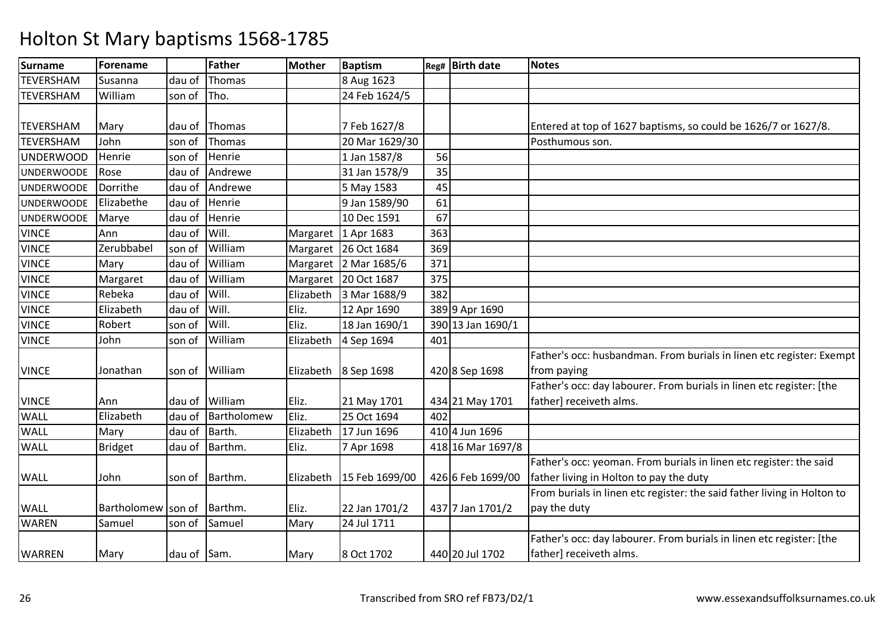| Surname           | <b>Forename</b>    |             | <b>Father</b> | <b>Mother</b> | <b>Baptism</b>        |     | Reg# Birth date   | <b>Notes</b>                                                            |
|-------------------|--------------------|-------------|---------------|---------------|-----------------------|-----|-------------------|-------------------------------------------------------------------------|
| <b>TEVERSHAM</b>  | Susanna            | dau of      | Thomas        |               | 8 Aug 1623            |     |                   |                                                                         |
| <b>TEVERSHAM</b>  | William            | son of      | Tho.          |               | 24 Feb 1624/5         |     |                   |                                                                         |
|                   |                    |             |               |               |                       |     |                   |                                                                         |
| <b>TEVERSHAM</b>  | Mary               | dau of      | Thomas        |               | 7 Feb 1627/8          |     |                   | Entered at top of 1627 baptisms, so could be 1626/7 or 1627/8.          |
| <b>TEVERSHAM</b>  | John               | son of      | Thomas        |               | 20 Mar 1629/30        |     |                   | Posthumous son.                                                         |
| <b>UNDERWOOD</b>  | Henrie             | son of      | Henrie        |               | 1 Jan 1587/8          | 56  |                   |                                                                         |
| <b>UNDERWOODE</b> | Rose               | dau of      | Andrewe       |               | 31 Jan 1578/9         | 35  |                   |                                                                         |
| <b>UNDERWOODE</b> | Dorrithe           | dau of      | Andrewe       |               | 5 May 1583            | 45  |                   |                                                                         |
| <b>UNDERWOODE</b> | Elizabethe         | dau of      | Henrie        |               | 9 Jan 1589/90         | 61  |                   |                                                                         |
| <b>UNDERWOODE</b> | Marye              | dau of      | Henrie        |               | 10 Dec 1591           | 67  |                   |                                                                         |
| <b>VINCE</b>      | Ann                | dau of      | Will.         | Margaret      | 1 Apr 1683            | 363 |                   |                                                                         |
| <b>VINCE</b>      | Zerubbabel         | son of      | William       | Margaret      | 26 Oct 1684           | 369 |                   |                                                                         |
| <b>VINCE</b>      | Mary               | dau of      | William       |               | Margaret 2 Mar 1685/6 | 371 |                   |                                                                         |
| <b>VINCE</b>      | Margaret           | dau of      | William       |               | Margaret 20 Oct 1687  | 375 |                   |                                                                         |
| <b>VINCE</b>      | Rebeka             | dau of      | Will.         | Elizabeth     | 3 Mar 1688/9          | 382 |                   |                                                                         |
| <b>VINCE</b>      | Elizabeth          | dau of      | Will.         | Eliz.         | 12 Apr 1690           |     | 389 9 Apr 1690    |                                                                         |
| <b>VINCE</b>      | Robert             | son of      | Will.         | Eliz.         | 18 Jan 1690/1         |     | 390 13 Jan 1690/1 |                                                                         |
| <b>VINCE</b>      | John               | son of      | William       | Elizabeth     | 4 Sep 1694            | 401 |                   |                                                                         |
|                   |                    |             |               |               |                       |     |                   | Father's occ: husbandman. From burials in linen etc register: Exempt    |
| <b>VINCE</b>      | Jonathan           | son of      | William       |               | Elizabeth 8 Sep 1698  |     | 420 8 Sep 1698    | from paying                                                             |
|                   |                    |             |               |               |                       |     |                   | Father's occ: day labourer. From burials in linen etc register: [the    |
| <b>VINCE</b>      | Ann                | dau of      | William       | Eliz.         | 21 May 1701           |     | 434 21 May 1701   | father] receiveth alms.                                                 |
| <b>WALL</b>       | Elizabeth          | dau of      | Bartholomew   | Eliz.         | 25 Oct 1694           | 402 |                   |                                                                         |
| <b>WALL</b>       | Mary               | dau of      | Barth.        | Elizabeth     | 17 Jun 1696           |     | 410 4 Jun 1696    |                                                                         |
| <b>WALL</b>       | <b>Bridget</b>     | dau of      | Barthm.       | Eliz.         | 7 Apr 1698            |     | 418 16 Mar 1697/8 |                                                                         |
|                   |                    |             |               |               |                       |     |                   | Father's occ: yeoman. From burials in linen etc register: the said      |
| <b>WALL</b>       | John               | son of      | Barthm.       | Elizabeth     | 15 Feb 1699/00        |     | 426 6 Feb 1699/00 | father living in Holton to pay the duty                                 |
|                   |                    |             |               |               |                       |     |                   | From burials in linen etc register: the said father living in Holton to |
| <b>WALL</b>       | Bartholomew son of |             | Barthm.       | Eliz.         | 22 Jan 1701/2         |     | 437 7 Jan 1701/2  | pay the duty                                                            |
| <b>WAREN</b>      | Samuel             | son of      | Samuel        | Mary          | 24 Jul 1711           |     |                   |                                                                         |
|                   |                    |             |               |               |                       |     |                   | Father's occ: day labourer. From burials in linen etc register: [the    |
| <b>WARREN</b>     | Mary               | dau of Sam. |               | Mary          | 8 Oct 1702            |     | 440 20 Jul 1702   | father] receiveth alms.                                                 |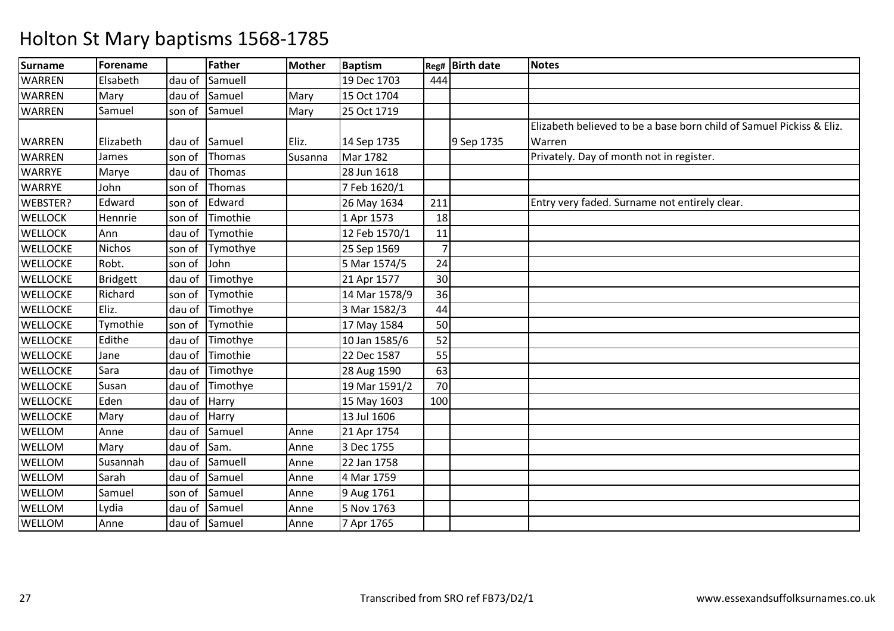| <b>Surname</b>  | Forename        |        | <b>Father</b> | <b>Mother</b> | <b>Baptism</b> | Reg# | <b>Birth date</b> | <b>Notes</b>                                                         |
|-----------------|-----------------|--------|---------------|---------------|----------------|------|-------------------|----------------------------------------------------------------------|
| <b>WARREN</b>   | Elsabeth        | dau of | Samuell       |               | 19 Dec 1703    | 444  |                   |                                                                      |
| <b>WARREN</b>   | Mary            | dau of | Samuel        | Mary          | 15 Oct 1704    |      |                   |                                                                      |
| <b>WARREN</b>   | Samuel          | son of | Samuel        | Mary          | 25 Oct 1719    |      |                   |                                                                      |
|                 |                 |        |               |               |                |      |                   | Elizabeth believed to be a base born child of Samuel Pickiss & Eliz. |
| <b>WARREN</b>   | Elizabeth       | dau of | Samuel        | Eliz.         | 14 Sep 1735    |      | 9 Sep 1735        | Warren                                                               |
| <b>WARREN</b>   | James           | son of | Thomas        | Susanna       | Mar 1782       |      |                   | Privately. Day of month not in register.                             |
| <b>WARRYE</b>   | Marye           | dau of | Thomas        |               | 28 Jun 1618    |      |                   |                                                                      |
| <b>WARRYE</b>   | John            | son of | Thomas        |               | 7 Feb 1620/1   |      |                   |                                                                      |
| WEBSTER?        | Edward          | son of | Edward        |               | 26 May 1634    | 211  |                   | Entry very faded. Surname not entirely clear.                        |
| <b>WELLOCK</b>  | Hennrie         | son of | Timothie      |               | 1 Apr 1573     | 18   |                   |                                                                      |
| <b>WELLOCK</b>  | Ann             | dau of | Tymothie      |               | 12 Feb 1570/1  | 11   |                   |                                                                      |
| <b>WELLOCKE</b> | Nichos          | son of | Tymothye      |               | 25 Sep 1569    |      |                   |                                                                      |
| <b>WELLOCKE</b> | Robt.           | son of | John          |               | 5 Mar 1574/5   | 24   |                   |                                                                      |
| <b>WELLOCKE</b> | <b>Bridgett</b> | dau of | Timothye      |               | 21 Apr 1577    | 30   |                   |                                                                      |
| <b>WELLOCKE</b> | Richard         | son of | Tymothie      |               | 14 Mar 1578/9  | 36   |                   |                                                                      |
| <b>WELLOCKE</b> | Eliz.           | dau of | Timothye      |               | 3 Mar 1582/3   | 44   |                   |                                                                      |
| <b>WELLOCKE</b> | Tymothie        | son of | Tymothie      |               | 17 May 1584    | 50   |                   |                                                                      |
| <b>WELLOCKE</b> | Edithe          | dau of | Timothye      |               | 10 Jan 1585/6  | 52   |                   |                                                                      |
| <b>WELLOCKE</b> | Jane            | dau of | Timothie      |               | 22 Dec 1587    | 55   |                   |                                                                      |
| <b>WELLOCKE</b> | Sara            | dau of | Timothye      |               | 28 Aug 1590    | 63   |                   |                                                                      |
| <b>WELLOCKE</b> | Susan           | dau of | Timothye      |               | 19 Mar 1591/2  | 70   |                   |                                                                      |
| <b>WELLOCKE</b> | Eden            | dau of | Harry         |               | 15 May 1603    | 100  |                   |                                                                      |
| <b>WELLOCKE</b> | Mary            | dau of | Harry         |               | 13 Jul 1606    |      |                   |                                                                      |
| WELLOM          | Anne            | dau of | Samuel        | Anne          | 21 Apr 1754    |      |                   |                                                                      |
| WELLOM          | Mary            | dau of | Sam.          | Anne          | 3 Dec 1755     |      |                   |                                                                      |
| WELLOM          | Susannah        | dau of | Samuell       | Anne          | 22 Jan 1758    |      |                   |                                                                      |
| WELLOM          | Sarah           | dau of | Samuel        | Anne          | 4 Mar 1759     |      |                   |                                                                      |
| WELLOM          | Samuel          | son of | Samuel        | Anne          | 9 Aug 1761     |      |                   |                                                                      |
| WELLOM          | Lydia           | dau of | Samuel        | Anne          | 5 Nov 1763     |      |                   |                                                                      |
| WELLOM          | Anne            | dau of | Samuel        | Anne          | 7 Apr 1765     |      |                   |                                                                      |